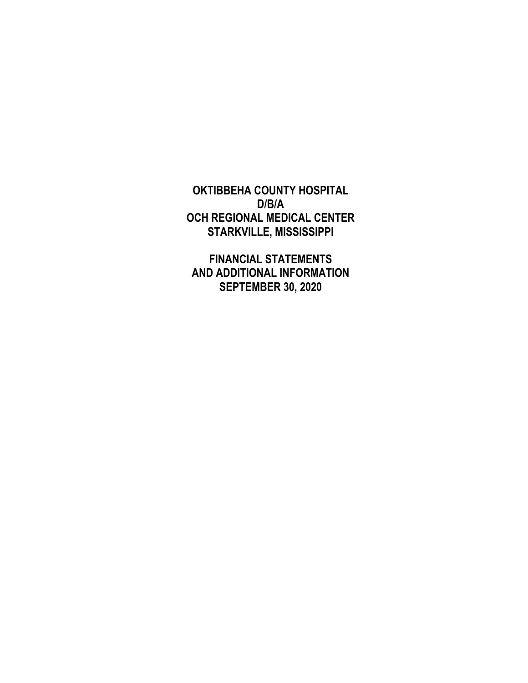**OKTIBBEHA COUNTY HOSPITAL D/B/A OCH REGIONAL MEDICAL CENTER STARKVILLE, MISSISSIPPI** 

 **FINANCIAL STATEMENTS AND ADDITIONAL INFORMATION SEPTEMBER 30, 2020**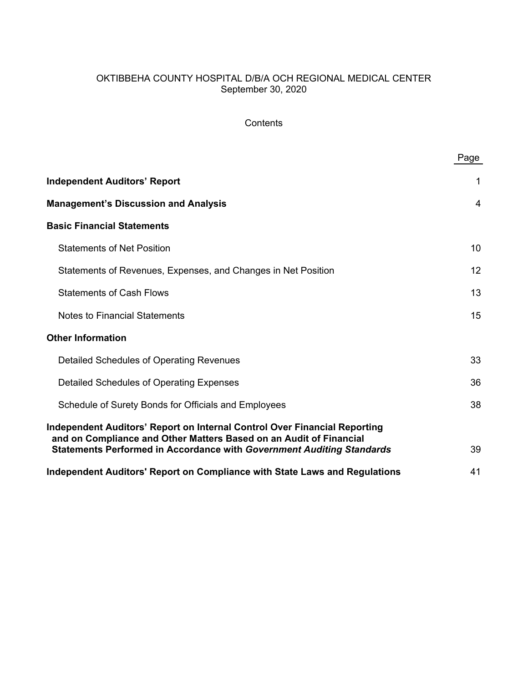# OKTIBBEHA COUNTY HOSPITAL D/B/A OCH REGIONAL MEDICAL CENTER September 30, 2020

# **Contents**

|                                                                                                                                                 | Page |
|-------------------------------------------------------------------------------------------------------------------------------------------------|------|
| <b>Independent Auditors' Report</b>                                                                                                             | 1    |
| <b>Management's Discussion and Analysis</b>                                                                                                     | 4    |
| <b>Basic Financial Statements</b>                                                                                                               |      |
| <b>Statements of Net Position</b>                                                                                                               | 10   |
| Statements of Revenues, Expenses, and Changes in Net Position                                                                                   | 12   |
| <b>Statements of Cash Flows</b>                                                                                                                 | 13   |
| <b>Notes to Financial Statements</b>                                                                                                            | 15   |
| <b>Other Information</b>                                                                                                                        |      |
| Detailed Schedules of Operating Revenues                                                                                                        | 33   |
| Detailed Schedules of Operating Expenses                                                                                                        | 36   |
| Schedule of Surety Bonds for Officials and Employees                                                                                            | 38   |
| Independent Auditors' Report on Internal Control Over Financial Reporting<br>and on Compliance and Other Matters Based on an Audit of Financial |      |
| <b>Statements Performed in Accordance with Government Auditing Standards</b>                                                                    | 39   |
| Independent Auditors' Report on Compliance with State Laws and Regulations                                                                      | 41   |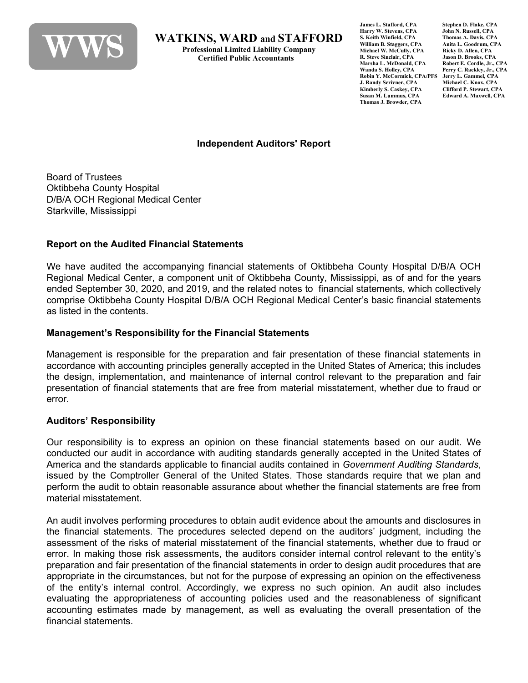

**WATKINS, WARD and STAFFORD**<br>Professional Limited Liability Company<br>Certified Public Accountants

**James L. Stafford, CPA** Stephen D. Flake, CPA<br> **Harry W. Stevens. CPA** John N. Russell. CPA **Harry W. Stevens, CPA John N. Russell, CPA S. Keith Winfield**, **CPA William B. Staggers, CPA Anita L. Goodrum, CPA Michael W. McCully, CPA Ricky D. Allen, CPA<br>
R. Steve Sinclair, CPA Jason D. Brooks, CPA R. Steve Sinclair, CPA Jason D. Brooks, CPA Marsha L. McDonald, CPA<br>Wanda S. Holley, CPA Robin Y. McCormick, CPA/PFS J. Randy Scrivner, CPA Michael C. Knox, CPA Kimberly S. Caskey, CPA Clifford P. Stewart, CPA Thomas J. Browder, CPA**

Perry C. Rackley, Jr., CPA<br>Jerry L. Gammel. CPA  $Edward A. Maxwell, CPA$ 

### **Independent Auditors' Report**

Board of Trustees Oktibbeha County Hospital D/B/A OCH Regional Medical Center Starkville, Mississippi

#### **Report on the Audited Financial Statements**

We have audited the accompanying financial statements of Oktibbeha County Hospital D/B/A OCH Regional Medical Center, a component unit of Oktibbeha County, Mississippi, as of and for the years ended September 30, 2020, and 2019, and the related notes to financial statements, which collectively comprise Oktibbeha County Hospital D/B/A OCH Regional Medical Center's basic financial statements as listed in the contents.

#### **Management's Responsibility for the Financial Statements**

Management is responsible for the preparation and fair presentation of these financial statements in accordance with accounting principles generally accepted in the United States of America; this includes the design, implementation, and maintenance of internal control relevant to the preparation and fair presentation of financial statements that are free from material misstatement, whether due to fraud or error.

## **Auditors' Responsibility**

Our responsibility is to express an opinion on these financial statements based on our audit. We conducted our audit in accordance with auditing standards generally accepted in the United States of America and the standards applicable to financial audits contained in *Government Auditing Standards*, issued by the Comptroller General of the United States. Those standards require that we plan and perform the audit to obtain reasonable assurance about whether the financial statements are free from material misstatement.

An audit involves performing procedures to obtain audit evidence about the amounts and disclosures in the financial statements. The procedures selected depend on the auditors' judgment, including the assessment of the risks of material misstatement of the financial statements, whether due to fraud or error. In making those risk assessments, the auditors consider internal control relevant to the entity's preparation and fair presentation of the financial statements in order to design audit procedures that are appropriate in the circumstances, but not for the purpose of expressing an opinion on the effectiveness of the entity's internal control. Accordingly, we express no such opinion. An audit also includes evaluating the appropriateness of accounting policies used and the reasonableness of significant accounting estimates made by management, as well as evaluating the overall presentation of the financial statements.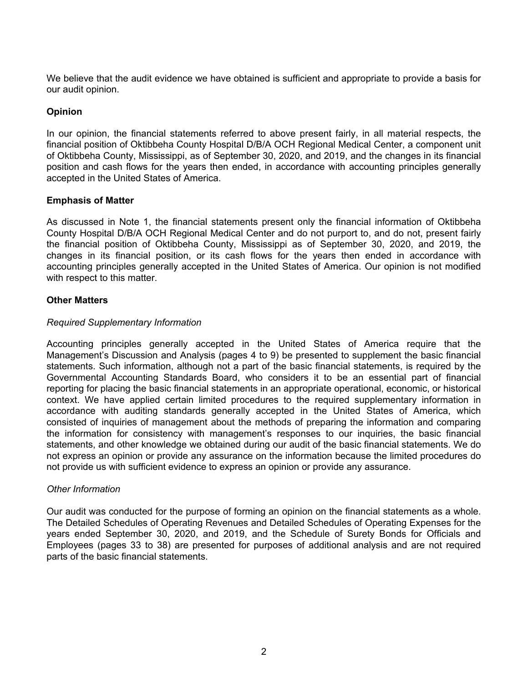We believe that the audit evidence we have obtained is sufficient and appropriate to provide a basis for our audit opinion.

## **Opinion**

In our opinion, the financial statements referred to above present fairly, in all material respects, the financial position of Oktibbeha County Hospital D/B/A OCH Regional Medical Center, a component unit of Oktibbeha County, Mississippi, as of September 30, 2020, and 2019, and the changes in its financial position and cash flows for the years then ended, in accordance with accounting principles generally accepted in the United States of America.

## **Emphasis of Matter**

As discussed in Note 1, the financial statements present only the financial information of Oktibbeha County Hospital D/B/A OCH Regional Medical Center and do not purport to, and do not, present fairly the financial position of Oktibbeha County, Mississippi as of September 30, 2020, and 2019, the changes in its financial position, or its cash flows for the years then ended in accordance with accounting principles generally accepted in the United States of America. Our opinion is not modified with respect to this matter.

#### **Other Matters**

## *Required Supplementary Information*

Accounting principles generally accepted in the United States of America require that the Management's Discussion and Analysis (pages 4 to 9) be presented to supplement the basic financial statements. Such information, although not a part of the basic financial statements, is required by the Governmental Accounting Standards Board, who considers it to be an essential part of financial reporting for placing the basic financial statements in an appropriate operational, economic, or historical context. We have applied certain limited procedures to the required supplementary information in accordance with auditing standards generally accepted in the United States of America, which consisted of inquiries of management about the methods of preparing the information and comparing the information for consistency with management's responses to our inquiries, the basic financial statements, and other knowledge we obtained during our audit of the basic financial statements. We do not express an opinion or provide any assurance on the information because the limited procedures do not provide us with sufficient evidence to express an opinion or provide any assurance.

#### *Other Information*

Our audit was conducted for the purpose of forming an opinion on the financial statements as a whole. The Detailed Schedules of Operating Revenues and Detailed Schedules of Operating Expenses for the years ended September 30, 2020, and 2019, and the Schedule of Surety Bonds for Officials and Employees (pages 33 to 38) are presented for purposes of additional analysis and are not required parts of the basic financial statements.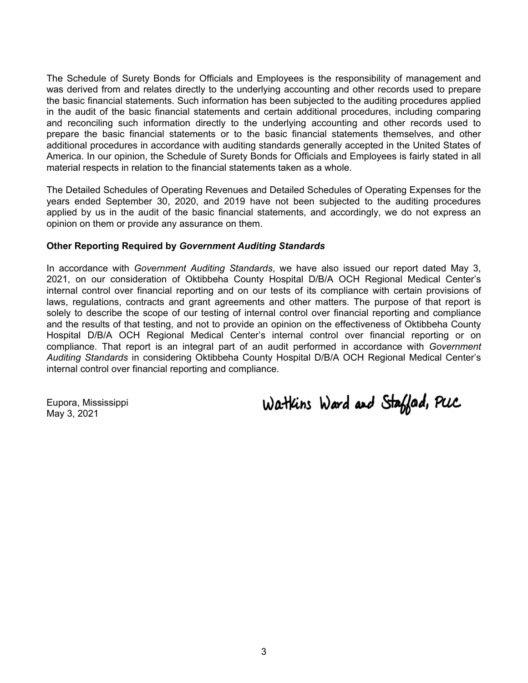The Schedule of Surety Bonds for Officials and Employees is the responsibility of management and was derived from and relates directly to the underlying accounting and other records used to prepare the basic financial statements. Such information has been subjected to the auditing procedures applied in the audit of the basic financial statements and certain additional procedures, including comparing and reconciling such information directly to the underlying accounting and other records used to prepare the basic financial statements or to the basic financial statements themselves, and other additional procedures in accordance with auditing standards generally accepted in the United States of America. In our opinion, the Schedule of Surety Bonds for Officials and Employees is fairly stated in all material respects in relation to the financial statements taken as a whole.

The Detailed Schedules of Operating Revenues and Detailed Schedules of Operating Expenses for the years ended September 30, 2020, and 2019 have not been subjected to the auditing procedures applied by us in the audit of the basic financial statements, and accordingly, we do not express an opinion on them or provide any assurance on them.

#### **Other Reporting Required by** *Government Auditing Standards*

In accordance with *Government Auditing Standards*, we have also issued our report dated May 3, 2021, on our consideration of Oktibbeha County Hospital D/B/A OCH Regional Medical Center's internal control over financial reporting and on our tests of its compliance with certain provisions of laws, regulations, contracts and grant agreements and other matters. The purpose of that report is solely to describe the scope of our testing of internal control over financial reporting and compliance and the results of that testing, and not to provide an opinion on the effectiveness of Oktibbeha County Hospital D/B/A OCH Regional Medical Center's internal control over financial reporting or on compliance. That report is an integral part of an audit performed in accordance with *Government Auditing Standards* in considering Oktibbeha County Hospital D/B/A OCH Regional Medical Center's internal control over financial reporting and compliance.

Eupora, Mississippi May 3, 2021

Watkins Ward and Staffad, PUC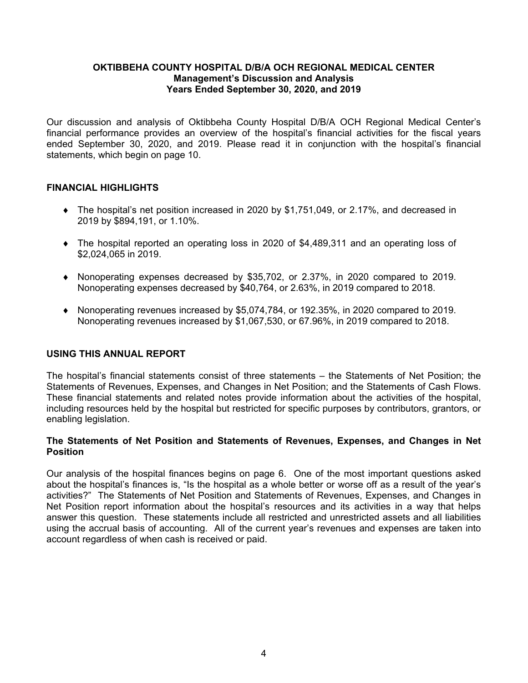Our discussion and analysis of Oktibbeha County Hospital D/B/A OCH Regional Medical Center's financial performance provides an overview of the hospital's financial activities for the fiscal years ended September 30, 2020, and 2019. Please read it in conjunction with the hospital's financial statements, which begin on page 10.

## **FINANCIAL HIGHLIGHTS**

- The hospital's net position increased in 2020 by \$1,751,049, or 2.17%, and decreased in 2019 by \$894,191, or 1.10%.
- The hospital reported an operating loss in 2020 of \$4,489,311 and an operating loss of \$2,024,065 in 2019.
- Nonoperating expenses decreased by \$35,702, or 2.37%, in 2020 compared to 2019. Nonoperating expenses decreased by \$40,764, or 2.63%, in 2019 compared to 2018.
- Nonoperating revenues increased by \$5,074,784, or 192.35%, in 2020 compared to 2019. Nonoperating revenues increased by \$1,067,530, or 67.96%, in 2019 compared to 2018.

## **USING THIS ANNUAL REPORT**

The hospital's financial statements consist of three statements – the Statements of Net Position; the Statements of Revenues, Expenses, and Changes in Net Position; and the Statements of Cash Flows. These financial statements and related notes provide information about the activities of the hospital, including resources held by the hospital but restricted for specific purposes by contributors, grantors, or enabling legislation.

#### **The Statements of Net Position and Statements of Revenues, Expenses, and Changes in Net Position**

Our analysis of the hospital finances begins on page 6. One of the most important questions asked about the hospital's finances is, "Is the hospital as a whole better or worse off as a result of the year's activities?" The Statements of Net Position and Statements of Revenues, Expenses, and Changes in Net Position report information about the hospital's resources and its activities in a way that helps answer this question. These statements include all restricted and unrestricted assets and all liabilities using the accrual basis of accounting. All of the current year's revenues and expenses are taken into account regardless of when cash is received or paid.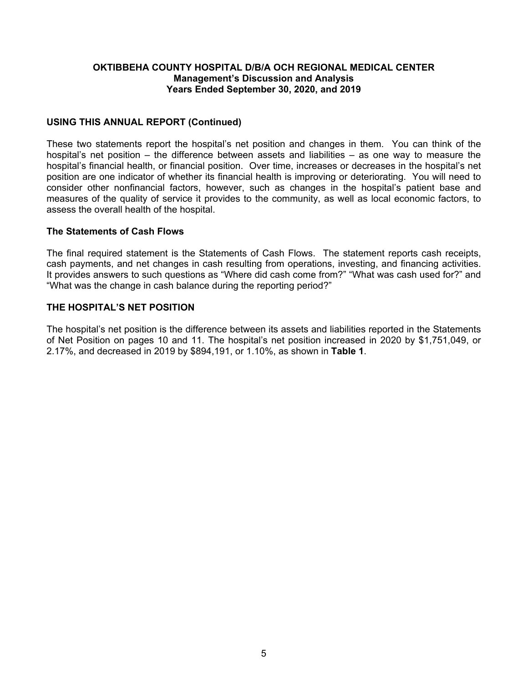### **USING THIS ANNUAL REPORT (Continued)**

These two statements report the hospital's net position and changes in them. You can think of the hospital's net position – the difference between assets and liabilities – as one way to measure the hospital's financial health, or financial position. Over time, increases or decreases in the hospital's net position are one indicator of whether its financial health is improving or deteriorating. You will need to consider other nonfinancial factors, however, such as changes in the hospital's patient base and measures of the quality of service it provides to the community, as well as local economic factors, to assess the overall health of the hospital.

#### **The Statements of Cash Flows**

The final required statement is the Statements of Cash Flows. The statement reports cash receipts, cash payments, and net changes in cash resulting from operations, investing, and financing activities. It provides answers to such questions as "Where did cash come from?" "What was cash used for?" and "What was the change in cash balance during the reporting period?"

#### **THE HOSPITAL'S NET POSITION**

The hospital's net position is the difference between its assets and liabilities reported in the Statements of Net Position on pages 10 and 11. The hospital's net position increased in 2020 by \$1,751,049, or 2.17%, and decreased in 2019 by \$894,191, or 1.10%, as shown in **Table 1**.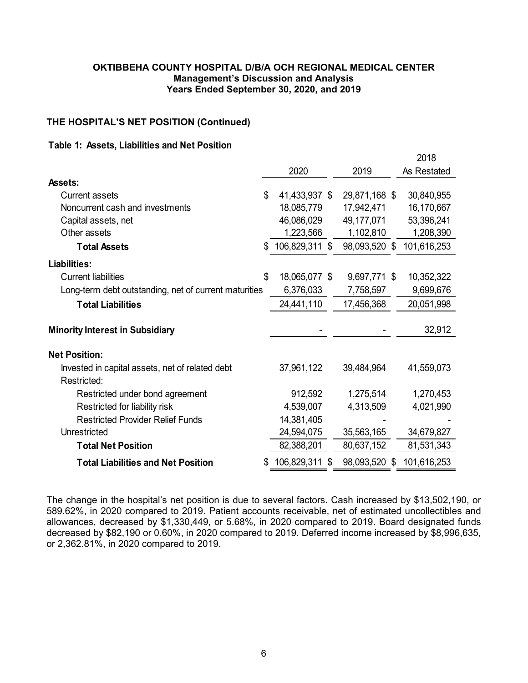## **THE HOSPITAL'S NET POSITION (Continued)**

#### **Table 1: Assets, Liabilities and Net Position**

|                                                                |                     |     |               | 2018        |
|----------------------------------------------------------------|---------------------|-----|---------------|-------------|
|                                                                | 2020                |     | 2019          | As Restated |
| <b>Assets:</b>                                                 |                     |     |               |             |
| Current assets                                                 | \$<br>41,433,937 \$ |     | 29,871,168 \$ | 30,840,955  |
| Noncurrent cash and investments                                | 18,085,779          |     | 17,942,471    | 16,170,667  |
| Capital assets, net                                            | 46,086,029          |     | 49,177,071    | 53,396,241  |
| Other assets                                                   | 1,223,566           |     | 1,102,810     | 1,208,390   |
| <b>Total Assets</b>                                            | 106,829,311 \$      |     | 98,093,520 \$ | 101,616,253 |
| <b>Liabilities:</b>                                            |                     |     |               |             |
| <b>Current liabilities</b>                                     | \$<br>18,065,077 \$ |     | 9,697,771 \$  | 10,352,322  |
| Long-term debt outstanding, net of current maturities          | 6,376,033           |     | 7,758,597     | 9,699,676   |
| <b>Total Liabilities</b>                                       | 24,441,110          |     | 17,456,368    | 20,051,998  |
| <b>Minority Interest in Subsidiary</b>                         |                     |     |               | 32,912      |
| <b>Net Position:</b>                                           |                     |     |               |             |
| Invested in capital assets, net of related debt<br>Restricted: | 37,961,122          |     | 39,484,964    | 41,559,073  |
| Restricted under bond agreement                                | 912,592             |     | 1,275,514     | 1,270,453   |
| Restricted for liability risk                                  | 4,539,007           |     | 4,313,509     | 4,021,990   |
| <b>Restricted Provider Relief Funds</b>                        | 14,381,405          |     |               |             |
| Unrestricted                                                   | 24,594,075          |     | 35,563,165    | 34,679,827  |
| <b>Total Net Position</b>                                      | 82,388,201          |     | 80,637,152    | 81,531,343  |
| <b>Total Liabilities and Net Position</b>                      | 106,829,311         | \$. | 98,093,520 \$ | 101,616,253 |

The change in the hospital's net position is due to several factors. Cash increased by \$13,502,190, or 589.62%, in 2020 compared to 2019. Patient accounts receivable, net of estimated uncollectibles and allowances, decreased by \$1,330,449, or 5.68%, in 2020 compared to 2019. Board designated funds decreased by \$82,190 or 0.60%, in 2020 compared to 2019. Deferred income increased by \$8,996,635, or 2,362.81%, in 2020 compared to 2019.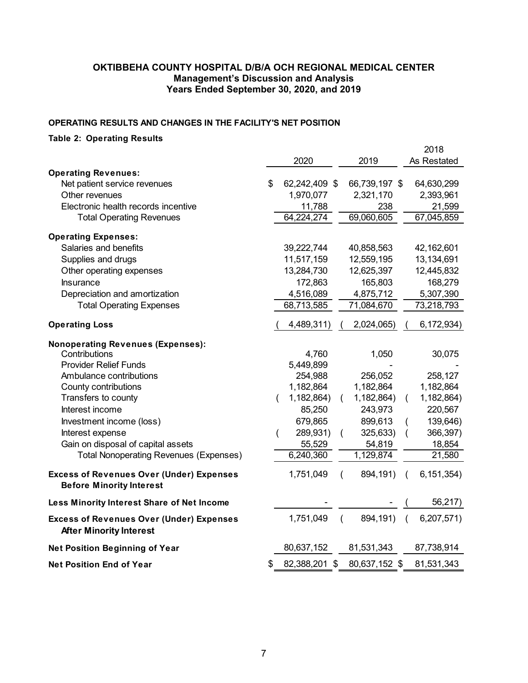#### **OPERATING RESULTS AND CHANGES IN THE FACILITY'S NET POSITION**

# **Table 2: Operating Results**

|                                                                                    |    |               |          |               |          | 2018         |
|------------------------------------------------------------------------------------|----|---------------|----------|---------------|----------|--------------|
|                                                                                    |    | 2020          |          | 2019          |          | As Restated  |
| <b>Operating Revenues:</b>                                                         |    |               |          |               |          |              |
| Net patient service revenues                                                       | \$ | 62,242,409 \$ |          | 66,739,197 \$ |          | 64,630,299   |
| Other revenues                                                                     |    | 1,970,077     |          | 2,321,170     |          | 2,393,961    |
| Electronic health records incentive                                                |    | 11,788        |          | 238           |          | 21,599       |
| <b>Total Operating Revenues</b>                                                    |    | 64,224,274    |          | 69,060,605    |          | 67,045,859   |
| <b>Operating Expenses:</b>                                                         |    |               |          |               |          |              |
| Salaries and benefits                                                              |    | 39,222,744    |          | 40,858,563    |          | 42,162,601   |
| Supplies and drugs                                                                 |    | 11,517,159    |          | 12,559,195    |          | 13,134,691   |
| Other operating expenses                                                           |    | 13,284,730    |          | 12,625,397    |          | 12,445,832   |
| <b>Insurance</b>                                                                   |    | 172,863       |          | 165,803       |          | 168,279      |
| Depreciation and amortization                                                      |    | 4,516,089     |          | 4,875,712     |          | 5,307,390    |
| <b>Total Operating Expenses</b>                                                    |    | 68,713,585    |          | 71,084,670    |          | 73,218,793   |
| <b>Operating Loss</b>                                                              |    | 4,489,311)    |          | 2,024,065)    |          | 6,172,934)   |
| <b>Nonoperating Revenues (Expenses):</b>                                           |    |               |          |               |          |              |
| Contributions                                                                      |    | 4,760         |          | 1,050         |          | 30,075       |
| <b>Provider Relief Funds</b>                                                       |    | 5,449,899     |          |               |          |              |
| Ambulance contributions                                                            |    | 254,988       |          | 256,052       |          | 258,127      |
| County contributions                                                               |    | 1,182,864     |          | 1,182,864     |          | 1,182,864    |
| Transfers to county                                                                | (  | 1,182,864)    | (        | 1,182,864)    | (        | 1,182,864)   |
| Interest income                                                                    |    | 85,250        |          | 243,973       |          | 220,567      |
| Investment income (loss)                                                           |    | 679,865       |          | 899,613       |          | 139,646)     |
| Interest expense                                                                   |    | 289,931)      |          | 325,633)      |          | 366,397)     |
| Gain on disposal of capital assets                                                 |    | 55,529        |          | 54,819        |          | 18,854       |
| <b>Total Nonoperating Revenues (Expenses)</b>                                      |    | 6,240,360     |          | 1,129,874     |          | 21,580       |
| <b>Excess of Revenues Over (Under) Expenses</b><br><b>Before Minority Interest</b> |    | 1,751,049     | $\left($ | 894,191)      | $\left($ | 6, 151, 354) |
| Less Minority Interest Share of Net Income                                         |    |               |          |               |          | 56,217)      |
| <b>Excess of Revenues Over (Under) Expenses</b><br><b>After Minority Interest</b>  |    | 1,751,049     | $\left($ | 894,191)      |          | 6,207,571)   |
| <b>Net Position Beginning of Year</b>                                              |    | 80,637,152    |          | 81,531,343    |          | 87,738,914   |
| <b>Net Position End of Year</b>                                                    | S  | 82,388,201 \$ |          | 80,637,152 \$ |          | 81,531,343   |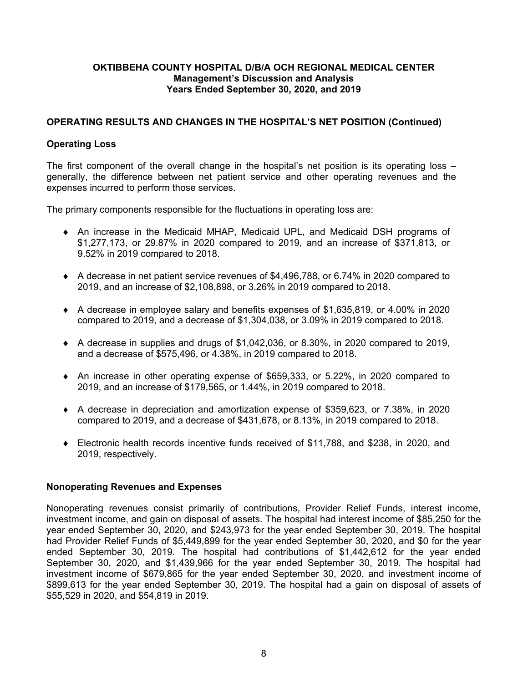## **OPERATING RESULTS AND CHANGES IN THE HOSPITAL'S NET POSITION (Continued)**

## **Operating Loss**

The first component of the overall change in the hospital's net position is its operating loss – generally, the difference between net patient service and other operating revenues and the expenses incurred to perform those services.

The primary components responsible for the fluctuations in operating loss are:

- An increase in the Medicaid MHAP, Medicaid UPL, and Medicaid DSH programs of \$1,277,173, or 29.87% in 2020 compared to 2019, and an increase of \$371,813, or 9.52% in 2019 compared to 2018.
- A decrease in net patient service revenues of \$4,496,788, or 6.74% in 2020 compared to 2019, and an increase of \$2,108,898, or 3.26% in 2019 compared to 2018.
- A decrease in employee salary and benefits expenses of \$1,635,819, or 4.00% in 2020 compared to 2019, and a decrease of \$1,304,038, or 3.09% in 2019 compared to 2018.
- $\blacklozenge$  A decrease in supplies and drugs of \$1,042,036, or 8.30%, in 2020 compared to 2019, and a decrease of \$575,496, or 4.38%, in 2019 compared to 2018.
- An increase in other operating expense of \$659,333, or 5.22%, in 2020 compared to 2019, and an increase of \$179,565, or 1.44%, in 2019 compared to 2018.
- A decrease in depreciation and amortization expense of \$359,623, or 7.38%, in 2020 compared to 2019, and a decrease of \$431,678, or 8.13%, in 2019 compared to 2018.
- Electronic health records incentive funds received of \$11,788, and \$238, in 2020, and 2019, respectively.

## **Nonoperating Revenues and Expenses**

Nonoperating revenues consist primarily of contributions, Provider Relief Funds, interest income, investment income, and gain on disposal of assets. The hospital had interest income of \$85,250 for the year ended September 30, 2020, and \$243,973 for the year ended September 30, 2019. The hospital had Provider Relief Funds of \$5,449,899 for the year ended September 30, 2020, and \$0 for the year ended September 30, 2019. The hospital had contributions of \$1,442,612 for the year ended September 30, 2020, and \$1,439,966 for the year ended September 30, 2019. The hospital had investment income of \$679,865 for the year ended September 30, 2020, and investment income of \$899,613 for the year ended September 30, 2019. The hospital had a gain on disposal of assets of \$55,529 in 2020, and \$54,819 in 2019.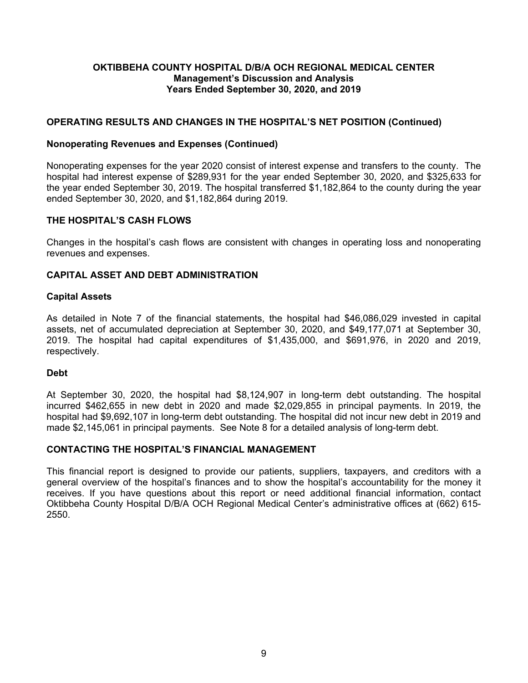## **OPERATING RESULTS AND CHANGES IN THE HOSPITAL'S NET POSITION (Continued)**

### **Nonoperating Revenues and Expenses (Continued)**

Nonoperating expenses for the year 2020 consist of interest expense and transfers to the county. The hospital had interest expense of \$289,931 for the year ended September 30, 2020, and \$325,633 for the year ended September 30, 2019. The hospital transferred \$1,182,864 to the county during the year ended September 30, 2020, and \$1,182,864 during 2019.

#### **THE HOSPITAL'S CASH FLOWS**

Changes in the hospital's cash flows are consistent with changes in operating loss and nonoperating revenues and expenses.

#### **CAPITAL ASSET AND DEBT ADMINISTRATION**

#### **Capital Assets**

As detailed in Note 7 of the financial statements, the hospital had \$46,086,029 invested in capital assets, net of accumulated depreciation at September 30, 2020, and \$49,177,071 at September 30, 2019. The hospital had capital expenditures of \$1,435,000, and \$691,976, in 2020 and 2019, respectively.

#### **Debt**

At September 30, 2020, the hospital had \$8,124,907 in long-term debt outstanding. The hospital incurred \$462,655 in new debt in 2020 and made \$2,029,855 in principal payments. In 2019, the hospital had \$9,692,107 in long-term debt outstanding. The hospital did not incur new debt in 2019 and made \$2,145,061 in principal payments. See Note 8 for a detailed analysis of long-term debt.

#### **CONTACTING THE HOSPITAL'S FINANCIAL MANAGEMENT**

This financial report is designed to provide our patients, suppliers, taxpayers, and creditors with a general overview of the hospital's finances and to show the hospital's accountability for the money it receives. If you have questions about this report or need additional financial information, contact Oktibbeha County Hospital D/B/A OCH Regional Medical Center's administrative offices at (662) 615- 2550.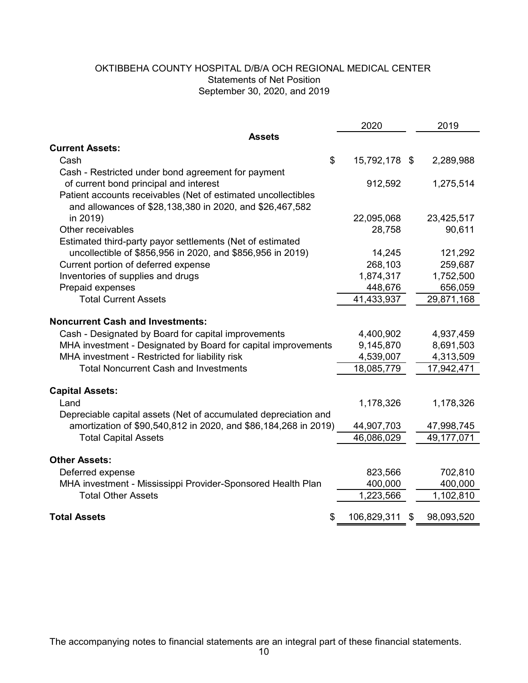## OKTIBBEHA COUNTY HOSPITAL D/B/A OCH REGIONAL MEDICAL CENTER Statements of Net Position September 30, 2020, and 2019

|                                                                 | 2020                | 2019             |
|-----------------------------------------------------------------|---------------------|------------------|
| <b>Assets</b>                                                   |                     |                  |
| <b>Current Assets:</b>                                          |                     |                  |
| Cash                                                            | \$<br>15,792,178 \$ | 2,289,988        |
| Cash - Restricted under bond agreement for payment              |                     |                  |
| of current bond principal and interest                          | 912,592             | 1,275,514        |
| Patient accounts receivables (Net of estimated uncollectibles   |                     |                  |
| and allowances of \$28,138,380 in 2020, and \$26,467,582        |                     |                  |
| in 2019)                                                        | 22,095,068          | 23,425,517       |
| Other receivables                                               | 28,758              | 90,611           |
| Estimated third-party payor settlements (Net of estimated       |                     |                  |
| uncollectible of \$856,956 in 2020, and \$856,956 in 2019)      | 14,245              | 121,292          |
| Current portion of deferred expense                             | 268,103             | 259,687          |
| Inventories of supplies and drugs                               | 1,874,317           | 1,752,500        |
| Prepaid expenses                                                | 448,676             | 656,059          |
| <b>Total Current Assets</b>                                     | 41,433,937          | 29,871,168       |
|                                                                 |                     |                  |
| <b>Noncurrent Cash and Investments:</b>                         |                     |                  |
| Cash - Designated by Board for capital improvements             | 4,400,902           | 4,937,459        |
| MHA investment - Designated by Board for capital improvements   | 9,145,870           | 8,691,503        |
| MHA investment - Restricted for liability risk                  | 4,539,007           | 4,313,509        |
| <b>Total Noncurrent Cash and Investments</b>                    | 18,085,779          | 17,942,471       |
|                                                                 |                     |                  |
| <b>Capital Assets:</b>                                          |                     |                  |
| Land                                                            | 1,178,326           | 1,178,326        |
| Depreciable capital assets (Net of accumulated depreciation and |                     |                  |
| amortization of \$90,540,812 in 2020, and \$86,184,268 in 2019) | 44,907,703          | 47,998,745       |
| <b>Total Capital Assets</b>                                     | 46,086,029          | 49,177,071       |
|                                                                 |                     |                  |
| <b>Other Assets:</b>                                            |                     |                  |
| Deferred expense                                                | 823,566             | 702,810          |
| MHA investment - Mississippi Provider-Sponsored Health Plan     | 400,000             | 400,000          |
| <b>Total Other Assets</b>                                       | 1,223,566           | 1,102,810        |
| <b>Total Assets</b>                                             | \$<br>106,829,311   | \$<br>98,093,520 |

The accompanying notes to financial statements are an integral part of these financial statements.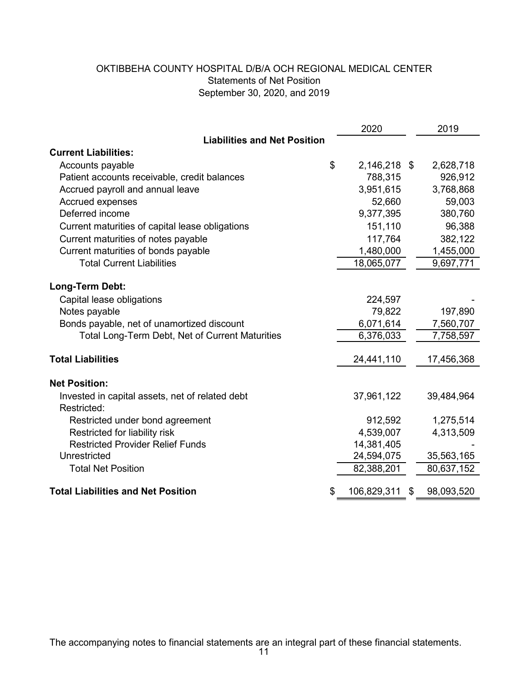# OKTIBBEHA COUNTY HOSPITAL D/B/A OCH REGIONAL MEDICAL CENTER Statements of Net Position September 30, 2020, and 2019

|                                                 | 2020               | 2019       |
|-------------------------------------------------|--------------------|------------|
| <b>Liabilities and Net Position</b>             |                    |            |
| <b>Current Liabilities:</b>                     |                    |            |
| Accounts payable                                | \$<br>2,146,218 \$ | 2,628,718  |
| Patient accounts receivable, credit balances    | 788,315            | 926,912    |
| Accrued payroll and annual leave                | 3,951,615          | 3,768,868  |
| Accrued expenses                                | 52,660             | 59,003     |
| Deferred income                                 | 9,377,395          | 380,760    |
| Current maturities of capital lease obligations | 151,110            | 96,388     |
| Current maturities of notes payable             | 117,764            | 382,122    |
| Current maturities of bonds payable             | 1,480,000          | 1,455,000  |
| <b>Total Current Liabilities</b>                | 18,065,077         | 9,697,771  |
|                                                 |                    |            |
| Long-Term Debt:                                 |                    |            |
| Capital lease obligations                       | 224,597            |            |
| Notes payable                                   | 79,822             | 197,890    |
| Bonds payable, net of unamortized discount      | 6,071,614          | 7,560,707  |
| Total Long-Term Debt, Net of Current Maturities | 6,376,033          | 7,758,597  |
| <b>Total Liabilities</b>                        | 24,441,110         | 17,456,368 |
| <b>Net Position:</b>                            |                    |            |
| Invested in capital assets, net of related debt | 37,961,122         | 39,484,964 |
| Restricted:                                     |                    |            |
| Restricted under bond agreement                 | 912,592            | 1,275,514  |
| Restricted for liability risk                   | 4,539,007          | 4,313,509  |
| <b>Restricted Provider Relief Funds</b>         | 14,381,405         |            |
| Unrestricted                                    | 24,594,075         | 35,563,165 |
| <b>Total Net Position</b>                       | 82,388,201         | 80,637,152 |
| <b>Total Liabilities and Net Position</b>       | 106,829,311        | 98,093,520 |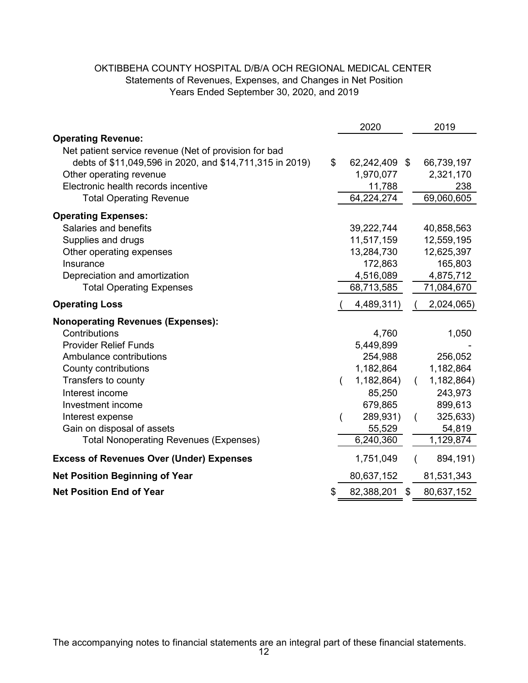## OKTIBBEHA COUNTY HOSPITAL D/B/A OCH REGIONAL MEDICAL CENTER Years Ended September 30, 2020, and 2019 Statements of Revenues, Expenses, and Changes in Net Position

| <b>Operating Revenue:</b><br>Net patient service revenue (Net of provision for bad<br>\$<br>debts of \$11,049,596 in 2020, and \$14,711,315 in 2019)<br>62,242,409 \$<br>66,739,197<br>1,970,077<br>Other operating revenue<br>2,321,170<br>Electronic health records incentive<br>11,788<br>238<br>69,060,605<br>64,224,274<br><b>Total Operating Revenue</b><br><b>Operating Expenses:</b><br>Salaries and benefits<br>39,222,744<br>40,858,563<br>12,559,195<br>Supplies and drugs<br>11,517,159<br>Other operating expenses<br>13,284,730<br>12,625,397<br>172,863<br>165,803<br>Insurance<br>Depreciation and amortization<br>4,516,089<br>4,875,712<br>68,713,585<br>71,084,670<br><b>Total Operating Expenses</b><br>4,489,311)<br><b>Operating Loss</b><br>2,024,065)<br><b>Nonoperating Revenues (Expenses):</b><br>Contributions<br>4,760<br>1,050<br><b>Provider Relief Funds</b><br>5,449,899<br>Ambulance contributions<br>254,988<br>256,052<br>1,182,864<br>1,182,864<br>County contributions<br>Transfers to county<br>1,182,864)<br>1,182,864)<br>Interest income<br>85,250<br>243,973<br>Investment income<br>679,865<br>899,613<br>289,931)<br>325,633)<br>Interest expense<br>Gain on disposal of assets<br>55,529<br>54,819<br>6,240,360<br>1,129,874<br><b>Total Nonoperating Revenues (Expenses)</b><br>1,751,049<br><b>Excess of Revenues Over (Under) Expenses</b><br>894,191)<br><b>Net Position Beginning of Year</b><br>80,637,152<br>81,531,343<br><b>Net Position End of Year</b><br>82,388,201<br>$\mathfrak{F}$<br>80,637,152<br>S |  | 2020 | 2019 |
|--------------------------------------------------------------------------------------------------------------------------------------------------------------------------------------------------------------------------------------------------------------------------------------------------------------------------------------------------------------------------------------------------------------------------------------------------------------------------------------------------------------------------------------------------------------------------------------------------------------------------------------------------------------------------------------------------------------------------------------------------------------------------------------------------------------------------------------------------------------------------------------------------------------------------------------------------------------------------------------------------------------------------------------------------------------------------------------------------------------------------------------------------------------------------------------------------------------------------------------------------------------------------------------------------------------------------------------------------------------------------------------------------------------------------------------------------------------------------------------------------------------------------------------------------------------------|--|------|------|
|                                                                                                                                                                                                                                                                                                                                                                                                                                                                                                                                                                                                                                                                                                                                                                                                                                                                                                                                                                                                                                                                                                                                                                                                                                                                                                                                                                                                                                                                                                                                                                    |  |      |      |
|                                                                                                                                                                                                                                                                                                                                                                                                                                                                                                                                                                                                                                                                                                                                                                                                                                                                                                                                                                                                                                                                                                                                                                                                                                                                                                                                                                                                                                                                                                                                                                    |  |      |      |
|                                                                                                                                                                                                                                                                                                                                                                                                                                                                                                                                                                                                                                                                                                                                                                                                                                                                                                                                                                                                                                                                                                                                                                                                                                                                                                                                                                                                                                                                                                                                                                    |  |      |      |
|                                                                                                                                                                                                                                                                                                                                                                                                                                                                                                                                                                                                                                                                                                                                                                                                                                                                                                                                                                                                                                                                                                                                                                                                                                                                                                                                                                                                                                                                                                                                                                    |  |      |      |
|                                                                                                                                                                                                                                                                                                                                                                                                                                                                                                                                                                                                                                                                                                                                                                                                                                                                                                                                                                                                                                                                                                                                                                                                                                                                                                                                                                                                                                                                                                                                                                    |  |      |      |
|                                                                                                                                                                                                                                                                                                                                                                                                                                                                                                                                                                                                                                                                                                                                                                                                                                                                                                                                                                                                                                                                                                                                                                                                                                                                                                                                                                                                                                                                                                                                                                    |  |      |      |
|                                                                                                                                                                                                                                                                                                                                                                                                                                                                                                                                                                                                                                                                                                                                                                                                                                                                                                                                                                                                                                                                                                                                                                                                                                                                                                                                                                                                                                                                                                                                                                    |  |      |      |
|                                                                                                                                                                                                                                                                                                                                                                                                                                                                                                                                                                                                                                                                                                                                                                                                                                                                                                                                                                                                                                                                                                                                                                                                                                                                                                                                                                                                                                                                                                                                                                    |  |      |      |
|                                                                                                                                                                                                                                                                                                                                                                                                                                                                                                                                                                                                                                                                                                                                                                                                                                                                                                                                                                                                                                                                                                                                                                                                                                                                                                                                                                                                                                                                                                                                                                    |  |      |      |
|                                                                                                                                                                                                                                                                                                                                                                                                                                                                                                                                                                                                                                                                                                                                                                                                                                                                                                                                                                                                                                                                                                                                                                                                                                                                                                                                                                                                                                                                                                                                                                    |  |      |      |
|                                                                                                                                                                                                                                                                                                                                                                                                                                                                                                                                                                                                                                                                                                                                                                                                                                                                                                                                                                                                                                                                                                                                                                                                                                                                                                                                                                                                                                                                                                                                                                    |  |      |      |
|                                                                                                                                                                                                                                                                                                                                                                                                                                                                                                                                                                                                                                                                                                                                                                                                                                                                                                                                                                                                                                                                                                                                                                                                                                                                                                                                                                                                                                                                                                                                                                    |  |      |      |
|                                                                                                                                                                                                                                                                                                                                                                                                                                                                                                                                                                                                                                                                                                                                                                                                                                                                                                                                                                                                                                                                                                                                                                                                                                                                                                                                                                                                                                                                                                                                                                    |  |      |      |
|                                                                                                                                                                                                                                                                                                                                                                                                                                                                                                                                                                                                                                                                                                                                                                                                                                                                                                                                                                                                                                                                                                                                                                                                                                                                                                                                                                                                                                                                                                                                                                    |  |      |      |
|                                                                                                                                                                                                                                                                                                                                                                                                                                                                                                                                                                                                                                                                                                                                                                                                                                                                                                                                                                                                                                                                                                                                                                                                                                                                                                                                                                                                                                                                                                                                                                    |  |      |      |
|                                                                                                                                                                                                                                                                                                                                                                                                                                                                                                                                                                                                                                                                                                                                                                                                                                                                                                                                                                                                                                                                                                                                                                                                                                                                                                                                                                                                                                                                                                                                                                    |  |      |      |
|                                                                                                                                                                                                                                                                                                                                                                                                                                                                                                                                                                                                                                                                                                                                                                                                                                                                                                                                                                                                                                                                                                                                                                                                                                                                                                                                                                                                                                                                                                                                                                    |  |      |      |
|                                                                                                                                                                                                                                                                                                                                                                                                                                                                                                                                                                                                                                                                                                                                                                                                                                                                                                                                                                                                                                                                                                                                                                                                                                                                                                                                                                                                                                                                                                                                                                    |  |      |      |
|                                                                                                                                                                                                                                                                                                                                                                                                                                                                                                                                                                                                                                                                                                                                                                                                                                                                                                                                                                                                                                                                                                                                                                                                                                                                                                                                                                                                                                                                                                                                                                    |  |      |      |
|                                                                                                                                                                                                                                                                                                                                                                                                                                                                                                                                                                                                                                                                                                                                                                                                                                                                                                                                                                                                                                                                                                                                                                                                                                                                                                                                                                                                                                                                                                                                                                    |  |      |      |
|                                                                                                                                                                                                                                                                                                                                                                                                                                                                                                                                                                                                                                                                                                                                                                                                                                                                                                                                                                                                                                                                                                                                                                                                                                                                                                                                                                                                                                                                                                                                                                    |  |      |      |
|                                                                                                                                                                                                                                                                                                                                                                                                                                                                                                                                                                                                                                                                                                                                                                                                                                                                                                                                                                                                                                                                                                                                                                                                                                                                                                                                                                                                                                                                                                                                                                    |  |      |      |
|                                                                                                                                                                                                                                                                                                                                                                                                                                                                                                                                                                                                                                                                                                                                                                                                                                                                                                                                                                                                                                                                                                                                                                                                                                                                                                                                                                                                                                                                                                                                                                    |  |      |      |
|                                                                                                                                                                                                                                                                                                                                                                                                                                                                                                                                                                                                                                                                                                                                                                                                                                                                                                                                                                                                                                                                                                                                                                                                                                                                                                                                                                                                                                                                                                                                                                    |  |      |      |
|                                                                                                                                                                                                                                                                                                                                                                                                                                                                                                                                                                                                                                                                                                                                                                                                                                                                                                                                                                                                                                                                                                                                                                                                                                                                                                                                                                                                                                                                                                                                                                    |  |      |      |
|                                                                                                                                                                                                                                                                                                                                                                                                                                                                                                                                                                                                                                                                                                                                                                                                                                                                                                                                                                                                                                                                                                                                                                                                                                                                                                                                                                                                                                                                                                                                                                    |  |      |      |
|                                                                                                                                                                                                                                                                                                                                                                                                                                                                                                                                                                                                                                                                                                                                                                                                                                                                                                                                                                                                                                                                                                                                                                                                                                                                                                                                                                                                                                                                                                                                                                    |  |      |      |
|                                                                                                                                                                                                                                                                                                                                                                                                                                                                                                                                                                                                                                                                                                                                                                                                                                                                                                                                                                                                                                                                                                                                                                                                                                                                                                                                                                                                                                                                                                                                                                    |  |      |      |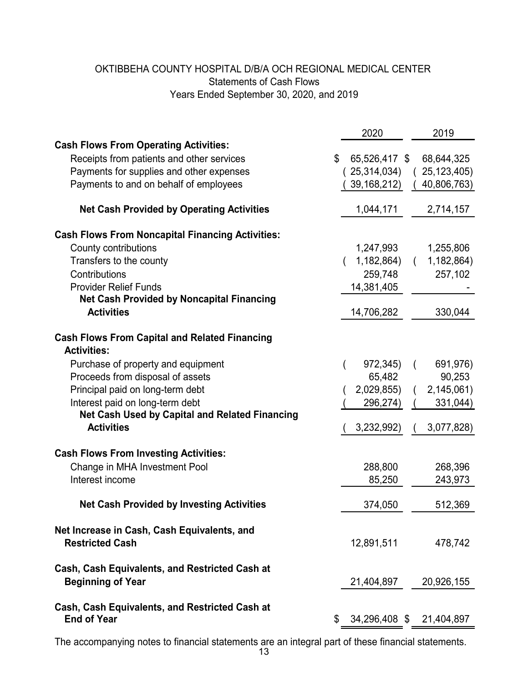# OKTIBBEHA COUNTY HOSPITAL D/B/A OCH REGIONAL MEDICAL CENTER Years Ended September 30, 2020, and 2019 Statements of Cash Flows

|                                                                       | 2020              | 2019                     |
|-----------------------------------------------------------------------|-------------------|--------------------------|
| <b>Cash Flows From Operating Activities:</b>                          |                   |                          |
| \$<br>Receipts from patients and other services                       | 65,526,417 \$     | 68,644,325               |
| Payments for supplies and other expenses                              | 25,314,034)       | 25, 123, 405)            |
| Payments to and on behalf of employees                                | 39, 168, 212)     | 40,806,763)              |
|                                                                       |                   |                          |
| <b>Net Cash Provided by Operating Activities</b>                      | 1,044,171         | 2,714,157                |
| <b>Cash Flows From Noncapital Financing Activities:</b>               |                   |                          |
| County contributions                                                  | 1,247,993         | 1,255,806                |
| Transfers to the county                                               | 1,182,864)        | 1,182,864)               |
| Contributions                                                         | 259,748           | 257,102                  |
| <b>Provider Relief Funds</b>                                          | 14,381,405        |                          |
| <b>Net Cash Provided by Noncapital Financing</b>                      |                   |                          |
| <b>Activities</b>                                                     | 14,706,282        | 330,044                  |
| <b>Cash Flows From Capital and Related Financing</b>                  |                   |                          |
| <b>Activities:</b>                                                    |                   |                          |
| Purchase of property and equipment                                    | 972,345)          | 691,976)                 |
| Proceeds from disposal of assets                                      | 65,482            | 90,253                   |
| Principal paid on long-term debt                                      | 2,029,855)        | 2,145,061)               |
| Interest paid on long-term debt                                       | 296,274)          | 331,044)                 |
| <b>Net Cash Used by Capital and Related Financing</b>                 |                   |                          |
| <b>Activities</b>                                                     | 3,232,992)        | 3,077,828)               |
| <b>Cash Flows From Investing Activities:</b>                          |                   |                          |
|                                                                       |                   |                          |
| Change in MHA Investment Pool<br>Interest income                      | 288,800<br>85,250 | 268,396                  |
|                                                                       |                   | 243,973                  |
| <b>Net Cash Provided by Investing Activities</b>                      | 374,050           | 512,369                  |
|                                                                       |                   |                          |
| Net Increase in Cash, Cash Equivalents, and<br><b>Restricted Cash</b> | 12,891,511        | 478,742                  |
|                                                                       |                   |                          |
| Cash, Cash Equivalents, and Restricted Cash at                        |                   |                          |
| <b>Beginning of Year</b>                                              | 21,404,897        | 20,926,155               |
| Cash, Cash Equivalents, and Restricted Cash at                        |                   |                          |
| <b>End of Year</b><br>\$                                              |                   | 34,296,408 \$ 21,404,897 |

The accompanying notes to financial statements are an integral part of these financial statements.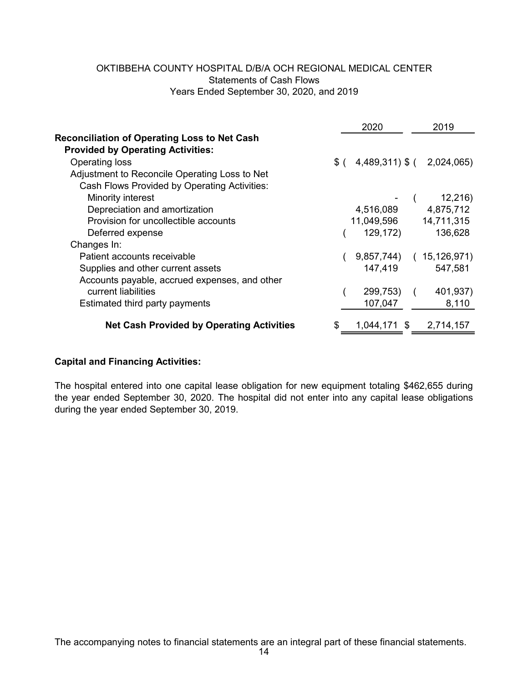## OKTIBBEHA COUNTY HOSPITAL D/B/A OCH REGIONAL MEDICAL CENTER Years Ended September 30, 2020, and 2019 Statements of Cash Flows

| 2020     | 2019                                                                                                 |
|----------|------------------------------------------------------------------------------------------------------|
|          |                                                                                                      |
|          |                                                                                                      |
|          |                                                                                                      |
|          |                                                                                                      |
|          |                                                                                                      |
|          | 12,216)                                                                                              |
|          | 4,875,712                                                                                            |
|          | 14,711,315                                                                                           |
| 129,172) | 136,628                                                                                              |
|          |                                                                                                      |
|          | 15,126,971)                                                                                          |
| 147,419  | 547,581                                                                                              |
|          |                                                                                                      |
| 299,753) | 401,937)                                                                                             |
| 107,047  | 8,110                                                                                                |
|          |                                                                                                      |
| \$       | $$$ ( 4,489,311) $$$ ( 2,024,065)<br>4,516,089<br>11,049,596<br>9,857,744)<br>1,044,171 \$ 2,714,157 |

## **Capital and Financing Activities:**

The hospital entered into one capital lease obligation for new equipment totaling \$462,655 during the year ended September 30, 2020. The hospital did not enter into any capital lease obligations during the year ended September 30, 2019.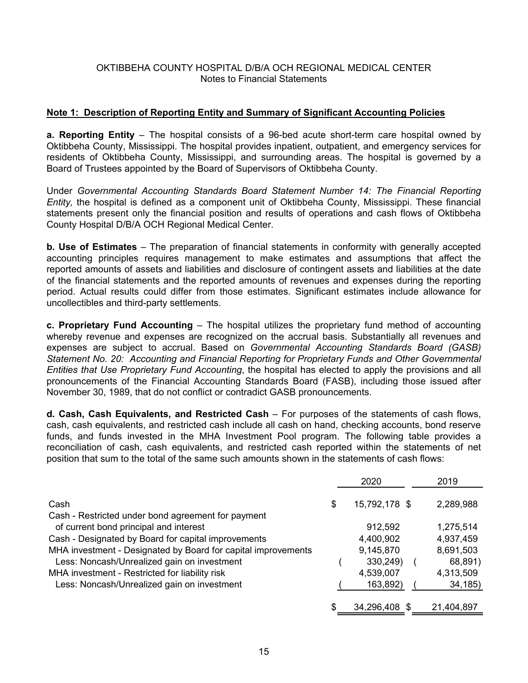### **Note 1: Description of Reporting Entity and Summary of Significant Accounting Policies**

**a. Reporting Entity** – The hospital consists of a 96-bed acute short-term care hospital owned by Oktibbeha County, Mississippi. The hospital provides inpatient, outpatient, and emergency services for residents of Oktibbeha County, Mississippi, and surrounding areas. The hospital is governed by a Board of Trustees appointed by the Board of Supervisors of Oktibbeha County.

Under *Governmental Accounting Standards Board Statement Number 14: The Financial Reporting Entity,* the hospital is defined as a component unit of Oktibbeha County, Mississippi. These financial statements present only the financial position and results of operations and cash flows of Oktibbeha County Hospital D/B/A OCH Regional Medical Center.

**b. Use of Estimates** – The preparation of financial statements in conformity with generally accepted accounting principles requires management to make estimates and assumptions that affect the reported amounts of assets and liabilities and disclosure of contingent assets and liabilities at the date of the financial statements and the reported amounts of revenues and expenses during the reporting period. Actual results could differ from those estimates. Significant estimates include allowance for uncollectibles and third-party settlements.

**c. Proprietary Fund Accounting** – The hospital utilizes the proprietary fund method of accounting whereby revenue and expenses are recognized on the accrual basis. Substantially all revenues and expenses are subject to accrual. Based on *Governmental Accounting Standards Board (GASB) Statement No. 20: Accounting and Financial Reporting for Proprietary Funds and Other Governmental Entities that Use Proprietary Fund Accounting*, the hospital has elected to apply the provisions and all pronouncements of the Financial Accounting Standards Board (FASB), including those issued after November 30, 1989, that do not conflict or contradict GASB pronouncements.

**d. Cash, Cash Equivalents, and Restricted Cash** – For purposes of the statements of cash flows, cash, cash equivalents, and restricted cash include all cash on hand, checking accounts, bond reserve funds, and funds invested in the MHA Investment Pool program. The following table provides a reconciliation of cash, cash equivalents, and restricted cash reported within the statements of net position that sum to the total of the same such amounts shown in the statements of cash flows:

|                                                                                              |   | 2020          | 2019       |
|----------------------------------------------------------------------------------------------|---|---------------|------------|
| Cash                                                                                         | S | 15,792,178 \$ | 2,289,988  |
| Cash - Restricted under bond agreement for payment<br>of current bond principal and interest |   | 912,592       | 1,275,514  |
| Cash - Designated by Board for capital improvements                                          |   | 4,400,902     | 4,937,459  |
| MHA investment - Designated by Board for capital improvements                                |   | 9,145,870     | 8,691,503  |
| Less: Noncash/Unrealized gain on investment                                                  |   | 330,249)      | 68,891)    |
| MHA investment - Restricted for liability risk                                               |   | 4,539,007     | 4,313,509  |
| Less: Noncash/Unrealized gain on investment                                                  |   | 163,892)      | 34, 185)   |
|                                                                                              |   |               |            |
|                                                                                              |   | 34,296,408    | 21,404,897 |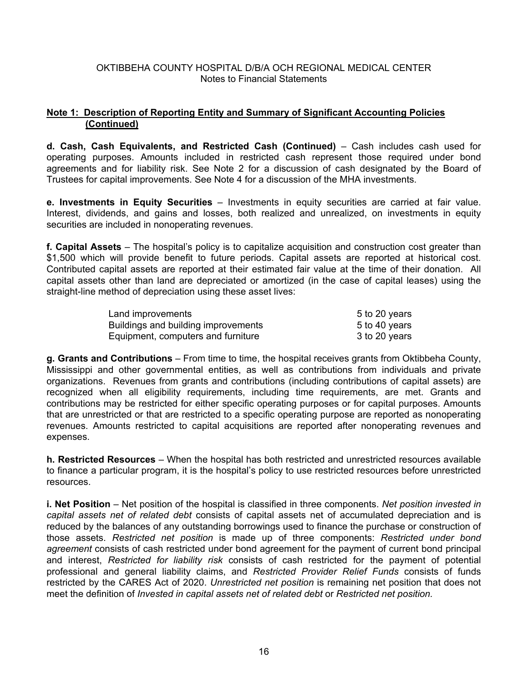## **Note 1: Description of Reporting Entity and Summary of Significant Accounting Policies (Continued)**

**d. Cash, Cash Equivalents, and Restricted Cash (Continued)** – Cash includes cash used for operating purposes. Amounts included in restricted cash represent those required under bond agreements and for liability risk. See Note 2 for a discussion of cash designated by the Board of Trustees for capital improvements. See Note 4 for a discussion of the MHA investments.

**e. Investments in Equity Securities** – Investments in equity securities are carried at fair value. Interest, dividends, and gains and losses, both realized and unrealized, on investments in equity securities are included in nonoperating revenues.

**f. Capital Assets** – The hospital's policy is to capitalize acquisition and construction cost greater than \$1,500 which will provide benefit to future periods. Capital assets are reported at historical cost. Contributed capital assets are reported at their estimated fair value at the time of their donation. All capital assets other than land are depreciated or amortized (in the case of capital leases) using the straight-line method of depreciation using these asset lives:

| Land improvements                   | 5 to 20 years |
|-------------------------------------|---------------|
| Buildings and building improvements | 5 to 40 years |
| Equipment, computers and furniture  | 3 to 20 years |

**g. Grants and Contributions** – From time to time, the hospital receives grants from Oktibbeha County, Mississippi and other governmental entities, as well as contributions from individuals and private organizations. Revenues from grants and contributions (including contributions of capital assets) are recognized when all eligibility requirements, including time requirements, are met. Grants and contributions may be restricted for either specific operating purposes or for capital purposes. Amounts that are unrestricted or that are restricted to a specific operating purpose are reported as nonoperating revenues. Amounts restricted to capital acquisitions are reported after nonoperating revenues and expenses.

**h. Restricted Resources** – When the hospital has both restricted and unrestricted resources available to finance a particular program, it is the hospital's policy to use restricted resources before unrestricted resources.

**i. Net Position** – Net position of the hospital is classified in three components. *Net position invested in capital assets net of related debt* consists of capital assets net of accumulated depreciation and is reduced by the balances of any outstanding borrowings used to finance the purchase or construction of those assets. *Restricted net position* is made up of three components: *Restricted under bond agreement* consists of cash restricted under bond agreement for the payment of current bond principal and interest, *Restricted for liability risk* consists of cash restricted for the payment of potential professional and general liability claims, and *Restricted Provider Relief Funds* consists of funds restricted by the CARES Act of 2020. *Unrestricted net position* is remaining net position that does not meet the definition of *Invested in capital assets net of related debt* or *Restricted net position.*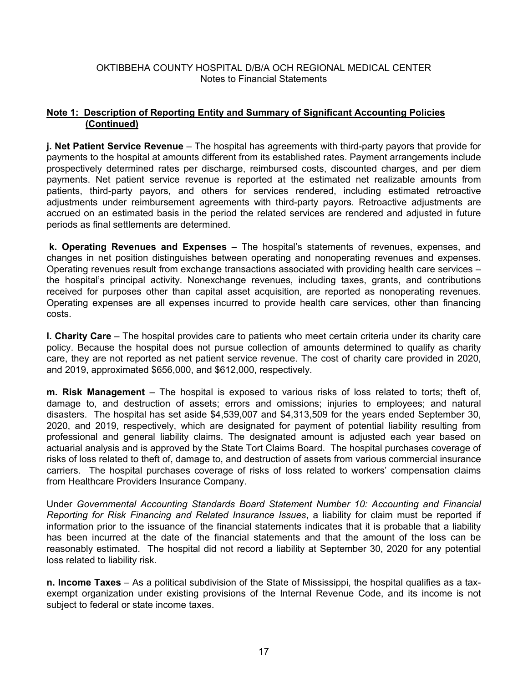## **Note 1: Description of Reporting Entity and Summary of Significant Accounting Policies (Continued)**

**j. Net Patient Service Revenue** – The hospital has agreements with third-party payors that provide for payments to the hospital at amounts different from its established rates. Payment arrangements include prospectively determined rates per discharge, reimbursed costs, discounted charges, and per diem payments. Net patient service revenue is reported at the estimated net realizable amounts from patients, third-party payors, and others for services rendered, including estimated retroactive adjustments under reimbursement agreements with third-party payors. Retroactive adjustments are accrued on an estimated basis in the period the related services are rendered and adjusted in future periods as final settlements are determined.

 **k. Operating Revenues and Expenses** – The hospital's statements of revenues, expenses, and changes in net position distinguishes between operating and nonoperating revenues and expenses. Operating revenues result from exchange transactions associated with providing health care services – the hospital's principal activity. Nonexchange revenues, including taxes, grants, and contributions received for purposes other than capital asset acquisition, are reported as nonoperating revenues. Operating expenses are all expenses incurred to provide health care services, other than financing costs.

**l. Charity Care** – The hospital provides care to patients who meet certain criteria under its charity care policy. Because the hospital does not pursue collection of amounts determined to qualify as charity care, they are not reported as net patient service revenue. The cost of charity care provided in 2020, and 2019, approximated \$656,000, and \$612,000, respectively.

**m. Risk Management** – The hospital is exposed to various risks of loss related to torts; theft of, damage to, and destruction of assets; errors and omissions; injuries to employees; and natural disasters. The hospital has set aside \$4,539,007 and \$4,313,509 for the years ended September 30, 2020, and 2019, respectively, which are designated for payment of potential liability resulting from professional and general liability claims. The designated amount is adjusted each year based on actuarial analysis and is approved by the State Tort Claims Board. The hospital purchases coverage of risks of loss related to theft of, damage to, and destruction of assets from various commercial insurance carriers. The hospital purchases coverage of risks of loss related to workers' compensation claims from Healthcare Providers Insurance Company.

Under *Governmental Accounting Standards Board Statement Number 10: Accounting and Financial Reporting for Risk Financing and Related Insurance Issues*, a liability for claim must be reported if information prior to the issuance of the financial statements indicates that it is probable that a liability has been incurred at the date of the financial statements and that the amount of the loss can be reasonably estimated. The hospital did not record a liability at September 30, 2020 for any potential loss related to liability risk.

**n. Income Taxes** – As a political subdivision of the State of Mississippi, the hospital qualifies as a taxexempt organization under existing provisions of the Internal Revenue Code, and its income is not subject to federal or state income taxes.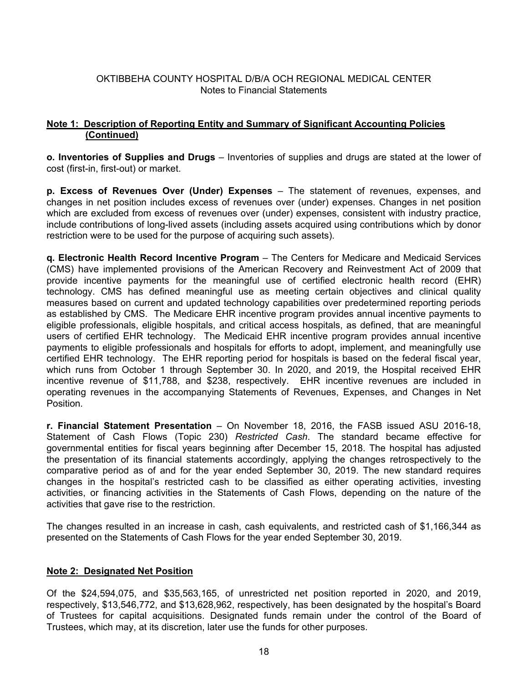## **Note 1: Description of Reporting Entity and Summary of Significant Accounting Policies (Continued)**

**o. Inventories of Supplies and Drugs** – Inventories of supplies and drugs are stated at the lower of cost (first-in, first-out) or market.

**p. Excess of Revenues Over (Under) Expenses** – The statement of revenues, expenses, and changes in net position includes excess of revenues over (under) expenses. Changes in net position which are excluded from excess of revenues over (under) expenses, consistent with industry practice, include contributions of long-lived assets (including assets acquired using contributions which by donor restriction were to be used for the purpose of acquiring such assets).

**q. Electronic Health Record Incentive Program** – The Centers for Medicare and Medicaid Services (CMS) have implemented provisions of the American Recovery and Reinvestment Act of 2009 that provide incentive payments for the meaningful use of certified electronic health record (EHR) technology. CMS has defined meaningful use as meeting certain objectives and clinical quality measures based on current and updated technology capabilities over predetermined reporting periods as established by CMS. The Medicare EHR incentive program provides annual incentive payments to eligible professionals, eligible hospitals, and critical access hospitals, as defined, that are meaningful users of certified EHR technology. The Medicaid EHR incentive program provides annual incentive payments to eligible professionals and hospitals for efforts to adopt, implement, and meaningfully use certified EHR technology. The EHR reporting period for hospitals is based on the federal fiscal year, which runs from October 1 through September 30. In 2020, and 2019, the Hospital received EHR incentive revenue of \$11,788, and \$238, respectively. EHR incentive revenues are included in operating revenues in the accompanying Statements of Revenues, Expenses, and Changes in Net Position.

**r. Financial Statement Presentation** – On November 18, 2016, the FASB issued ASU 2016-18, Statement of Cash Flows (Topic 230) *Restricted Cash*. The standard became effective for governmental entities for fiscal years beginning after December 15, 2018. The hospital has adjusted the presentation of its financial statements accordingly, applying the changes retrospectively to the comparative period as of and for the year ended September 30, 2019. The new standard requires changes in the hospital's restricted cash to be classified as either operating activities, investing activities, or financing activities in the Statements of Cash Flows, depending on the nature of the activities that gave rise to the restriction.

The changes resulted in an increase in cash, cash equivalents, and restricted cash of \$1,166,344 as presented on the Statements of Cash Flows for the year ended September 30, 2019.

## **Note 2: Designated Net Position**

Of the \$24,594,075, and \$35,563,165, of unrestricted net position reported in 2020, and 2019, respectively, \$13,546,772, and \$13,628,962, respectively, has been designated by the hospital's Board of Trustees for capital acquisitions. Designated funds remain under the control of the Board of Trustees, which may, at its discretion, later use the funds for other purposes.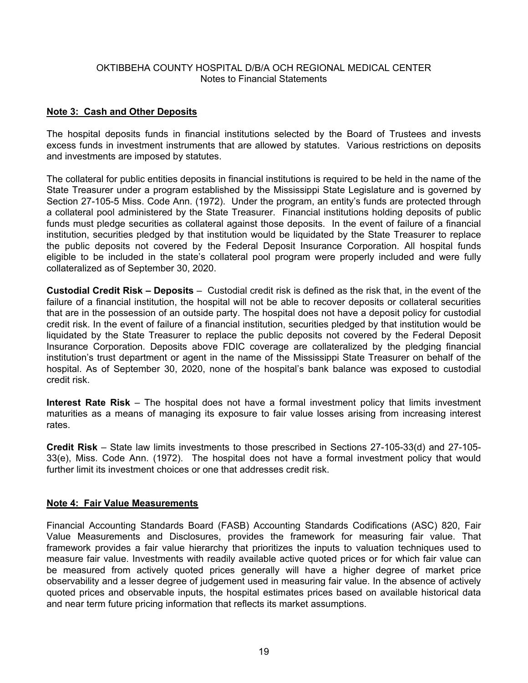## **Note 3: Cash and Other Deposits**

The hospital deposits funds in financial institutions selected by the Board of Trustees and invests excess funds in investment instruments that are allowed by statutes. Various restrictions on deposits and investments are imposed by statutes.

The collateral for public entities deposits in financial institutions is required to be held in the name of the State Treasurer under a program established by the Mississippi State Legislature and is governed by Section 27-105-5 Miss. Code Ann. (1972). Under the program, an entity's funds are protected through a collateral pool administered by the State Treasurer. Financial institutions holding deposits of public funds must pledge securities as collateral against those deposits. In the event of failure of a financial institution, securities pledged by that institution would be liquidated by the State Treasurer to replace the public deposits not covered by the Federal Deposit Insurance Corporation. All hospital funds eligible to be included in the state's collateral pool program were properly included and were fully collateralized as of September 30, 2020.

**Custodial Credit Risk – Deposits** – Custodial credit risk is defined as the risk that, in the event of the failure of a financial institution, the hospital will not be able to recover deposits or collateral securities that are in the possession of an outside party. The hospital does not have a deposit policy for custodial credit risk. In the event of failure of a financial institution, securities pledged by that institution would be liquidated by the State Treasurer to replace the public deposits not covered by the Federal Deposit Insurance Corporation. Deposits above FDIC coverage are collateralized by the pledging financial institution's trust department or agent in the name of the Mississippi State Treasurer on behalf of the hospital. As of September 30, 2020, none of the hospital's bank balance was exposed to custodial credit risk.

**Interest Rate Risk** – The hospital does not have a formal investment policy that limits investment maturities as a means of managing its exposure to fair value losses arising from increasing interest rates.

**Credit Risk** – State law limits investments to those prescribed in Sections 27-105-33(d) and 27-105- 33(e), Miss. Code Ann. (1972). The hospital does not have a formal investment policy that would further limit its investment choices or one that addresses credit risk.

## **Note 4: Fair Value Measurements**

Financial Accounting Standards Board (FASB) Accounting Standards Codifications (ASC) 820, Fair Value Measurements and Disclosures, provides the framework for measuring fair value. That framework provides a fair value hierarchy that prioritizes the inputs to valuation techniques used to measure fair value. Investments with readily available active quoted prices or for which fair value can be measured from actively quoted prices generally will have a higher degree of market price observability and a lesser degree of judgement used in measuring fair value. In the absence of actively quoted prices and observable inputs, the hospital estimates prices based on available historical data and near term future pricing information that reflects its market assumptions.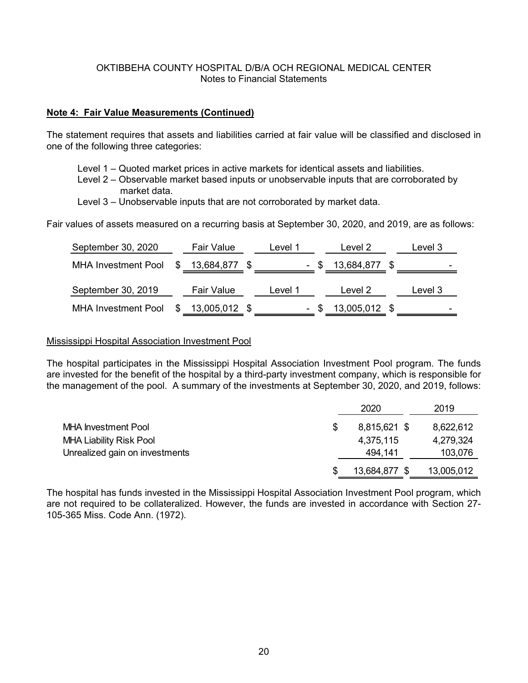### **Note 4: Fair Value Measurements (Continued)**

The statement requires that assets and liabilities carried at fair value will be classified and disclosed in one of the following three categories:

- Level 1 Quoted market prices in active markets for identical assets and liabilities.
- Level 2 Observable market based inputs or unobservable inputs that are corroborated by market data.
- Level 3 Unobservable inputs that are not corroborated by market data.

Fair values of assets measured on a recurring basis at September 30, 2020, and 2019, are as follows:

| September 30, 2020         | Fair Value        | Level 1 | Level 2.      | Level 3 |
|----------------------------|-------------------|---------|---------------|---------|
| <b>MHA Investment Pool</b> | $$13,684,877$ \$  |         | 13,684,877 \$ | -       |
| September 30, 2019         | <b>Fair Value</b> | Level 1 | Level 2       | Level 3 |
| <b>MHA Investment Pool</b> | 13,005,012 \$     |         | 13,005,012 \$ | -       |

#### Mississippi Hospital Association Investment Pool

The hospital participates in the Mississippi Hospital Association Investment Pool program. The funds are invested for the benefit of the hospital by a third-party investment company, which is responsible for the management of the pool. A summary of the investments at September 30, 2020, and 2019, follows:

|                                | 2020          | 2019       |
|--------------------------------|---------------|------------|
| <b>MHA Investment Pool</b>     | 8,815,621 \$  | 8,622,612  |
| <b>MHA Liability Risk Pool</b> | 4,375,115     | 4,279,324  |
| Unrealized gain on investments | 494,141       | 103,076    |
|                                | 13,684,877 \$ | 13,005,012 |

The hospital has funds invested in the Mississippi Hospital Association Investment Pool program, which are not required to be collateralized. However, the funds are invested in accordance with Section 27- 105-365 Miss. Code Ann. (1972).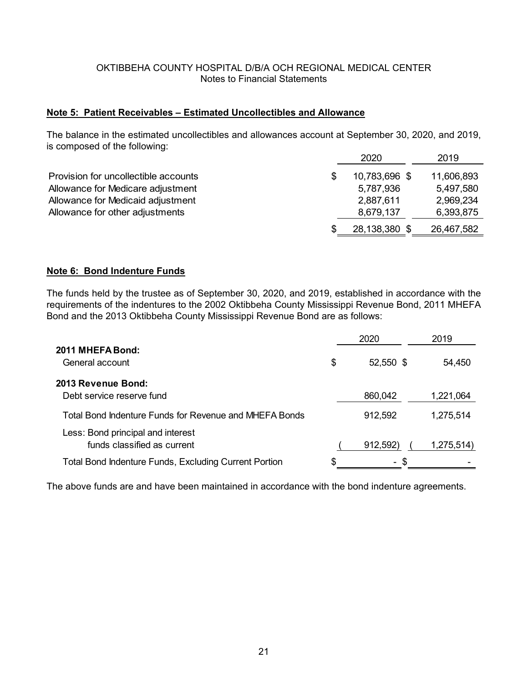### **Note 5: Patient Receivables – Estimated Uncollectibles and Allowance**

The balance in the estimated uncollectibles and allowances account at September 30, 2020, and 2019, is composed of the following:

|                                      | 2020          | 2019       |
|--------------------------------------|---------------|------------|
| Provision for uncollectible accounts | 10,783,696 \$ | 11,606,893 |
| Allowance for Medicare adjustment    | 5,787,936     | 5,497,580  |
| Allowance for Medicaid adjustment    | 2,887,611     | 2,969,234  |
| Allowance for other adjustments      | 8,679,137     | 6,393,875  |
|                                      | 28,138,380 \$ | 26,467,582 |

#### **Note 6: Bond Indenture Funds**

The funds held by the trustee as of September 30, 2020, and 2019, established in accordance with the requirements of the indentures to the 2002 Oktibbeha County Mississippi Revenue Bond, 2011 MHEFA Bond and the 2013 Oktibbeha County Mississippi Revenue Bond are as follows:

|                                                                  | 2020            | 2019       |
|------------------------------------------------------------------|-----------------|------------|
| 2011 MHEFA Bond:<br>General account                              | \$<br>52,550 \$ | 54,450     |
| 2013 Revenue Bond:<br>Debt service reserve fund                  | 860,042         | 1,221,064  |
| Total Bond Indenture Funds for Revenue and MHEFA Bonds           | 912,592         | 1,275,514  |
| Less: Bond principal and interest<br>funds classified as current | 912,592)        | 1,275,514) |
| <b>Total Bond Indenture Funds, Excluding Current Portion</b>     | \$.<br>$\sim$   |            |

The above funds are and have been maintained in accordance with the bond indenture agreements.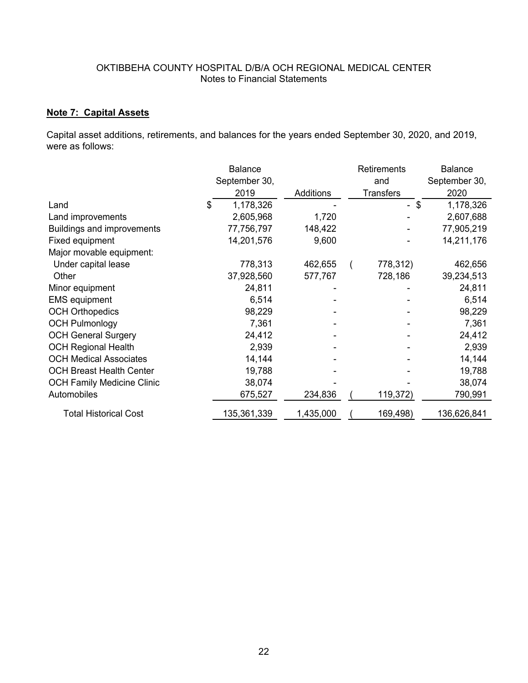# **Note 7: Capital Assets**

Capital asset additions, retirements, and balances for the years ended September 30, 2020, and 2019, were as follows:

|                                   | Balance       |           | <b>Retirements</b> | <b>Balance</b> |
|-----------------------------------|---------------|-----------|--------------------|----------------|
|                                   | September 30, |           | and                | September 30,  |
|                                   | 2019          | Additions | Transfers          | 2020           |
| Land                              | 1,178,326     |           | \$                 | 1,178,326      |
| Land improvements                 | 2,605,968     | 1,720     |                    | 2,607,688      |
| Buildings and improvements        | 77,756,797    | 148,422   |                    | 77,905,219     |
| Fixed equipment                   | 14,201,576    | 9,600     |                    | 14,211,176     |
| Major movable equipment:          |               |           |                    |                |
| Under capital lease               | 778,313       | 462,655   | 778,312)           | 462,656        |
| Other                             | 37,928,560    | 577,767   | 728,186            | 39,234,513     |
| Minor equipment                   | 24,811        |           |                    | 24,811         |
| <b>EMS</b> equipment              | 6,514         |           |                    | 6,514          |
| <b>OCH Orthopedics</b>            | 98,229        |           |                    | 98,229         |
| <b>OCH Pulmonlogy</b>             | 7,361         |           |                    | 7,361          |
| <b>OCH General Surgery</b>        | 24,412        |           |                    | 24,412         |
| <b>OCH Regional Health</b>        | 2,939         |           |                    | 2,939          |
| <b>OCH Medical Associates</b>     | 14,144        |           |                    | 14,144         |
| <b>OCH Breast Health Center</b>   | 19,788        |           |                    | 19,788         |
| <b>OCH Family Medicine Clinic</b> | 38,074        |           |                    | 38,074         |
| Automobiles                       | 675,527       | 234,836   | 119,372)           | 790,991        |
| <b>Total Historical Cost</b>      | 135,361,339   | 1,435,000 | 169,498)           | 136,626,841    |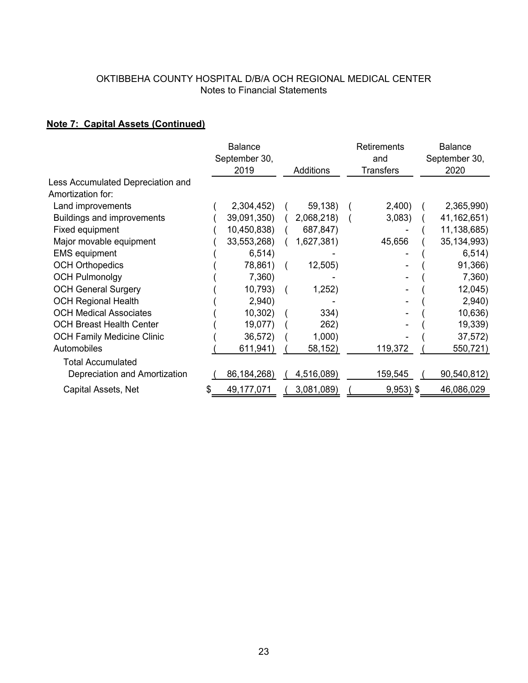# **Note 7: Capital Assets (Continued)**

|                                   | <b>Balance</b> |            | Retirements      | <b>Balance</b> |
|-----------------------------------|----------------|------------|------------------|----------------|
|                                   | September 30,  |            | and              | September 30,  |
|                                   | 2019           | Additions  | <b>Transfers</b> | 2020           |
| Less Accumulated Depreciation and |                |            |                  |                |
| Amortization for:                 |                |            |                  |                |
| Land improvements                 | 2,304,452)     | 59,138)    | 2,400)           | 2,365,990)     |
| <b>Buildings and improvements</b> | 39,091,350)    | 2,068,218) | 3,083)           | 41, 162, 651)  |
| Fixed equipment                   | 10,450,838)    | 687,847)   |                  | 11,138,685)    |
| Major movable equipment           | 33,553,268)    | 1,627,381) | 45,656           | 35, 134, 993)  |
| <b>EMS</b> equipment              | 6,514)         |            |                  | 6,514)         |
| <b>OCH Orthopedics</b>            | 78,861)        | 12,505)    |                  | 91,366)        |
| <b>OCH Pulmonolgy</b>             | 7,360)         |            |                  | 7,360)         |
| <b>OCH General Surgery</b>        | 10,793)        | 1,252)     |                  | 12,045         |
| <b>OCH Regional Health</b>        | 2,940)         |            |                  | 2,940)         |
| <b>OCH Medical Associates</b>     | 10,302)        | 334)       |                  | 10,636)        |
| <b>OCH Breast Health Center</b>   | 19,077)        | 262)       |                  | 19,339)        |
| <b>OCH Family Medicine Clinic</b> | 36,572)        | 1,000      |                  | 37,572)        |
| Automobiles                       | 611,941)       | 58,152)    | 119,372          | 550,721)       |
| <b>Total Accumulated</b>          |                |            |                  |                |
| Depreciation and Amortization     | 86, 184, 268)  | 4,516,089) | 159,545          | 90,540,812)    |
| Capital Assets, Net               | 49,177,071     | 3,081,089) | $9,953)$ \$      | 46,086,029     |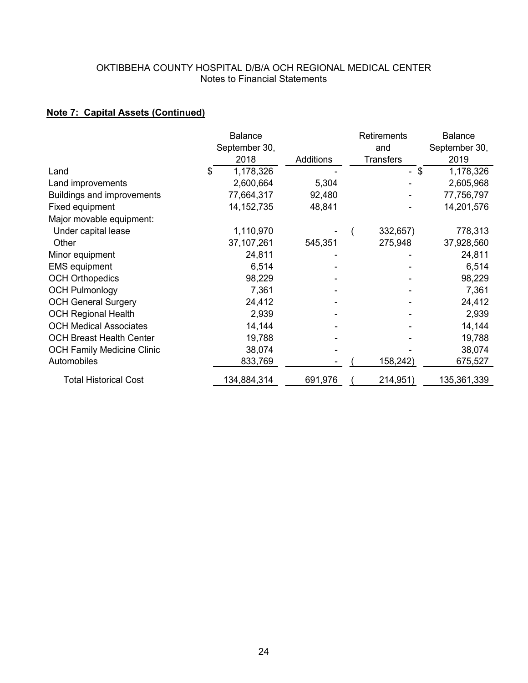# **Note 7: Capital Assets (Continued)**

|                                   |   | <b>Balance</b> |           | Retirements      | <b>Balance</b> |
|-----------------------------------|---|----------------|-----------|------------------|----------------|
|                                   |   | September 30,  |           | and              | September 30,  |
|                                   |   | 2018           | Additions | <b>Transfers</b> | 2019           |
| Land                              | S | 1,178,326      |           | \$<br>$\sim$     | 1,178,326      |
| Land improvements                 |   | 2,600,664      | 5,304     |                  | 2,605,968      |
| <b>Buildings and improvements</b> |   | 77,664,317     | 92,480    |                  | 77,756,797     |
| Fixed equipment                   |   | 14, 152, 735   | 48,841    |                  | 14,201,576     |
| Major movable equipment:          |   |                |           |                  |                |
| Under capital lease               |   | 1,110,970      |           | 332,657)         | 778,313        |
| Other                             |   | 37, 107, 261   | 545,351   | 275,948          | 37,928,560     |
| Minor equipment                   |   | 24,811         |           |                  | 24,811         |
| <b>EMS</b> equipment              |   | 6,514          |           |                  | 6,514          |
| <b>OCH Orthopedics</b>            |   | 98,229         |           |                  | 98,229         |
| <b>OCH Pulmonlogy</b>             |   | 7,361          |           |                  | 7,361          |
| <b>OCH General Surgery</b>        |   | 24,412         |           |                  | 24,412         |
| <b>OCH Regional Health</b>        |   | 2,939          |           |                  | 2,939          |
| <b>OCH Medical Associates</b>     |   | 14,144         |           |                  | 14,144         |
| <b>OCH Breast Health Center</b>   |   | 19,788         |           |                  | 19,788         |
| <b>OCH Family Medicine Clinic</b> |   | 38,074         |           |                  | 38,074         |
| Automobiles                       |   | 833,769        |           | 158,242)         | 675,527        |
| <b>Total Historical Cost</b>      |   | 134,884,314    | 691,976   | 214,951)         | 135,361,339    |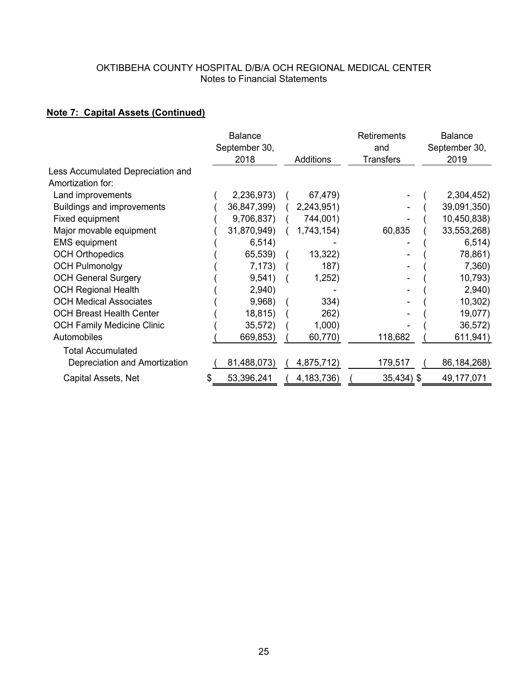# **Note 7: Capital Assets (Continued)**

|                                   |   | <b>Balance</b> |              | Retirements      | <b>Balance</b> |
|-----------------------------------|---|----------------|--------------|------------------|----------------|
|                                   |   | September 30,  |              | and              | September 30,  |
|                                   |   | 2018           | Additions    | <b>Transfers</b> | 2019           |
| Less Accumulated Depreciation and |   |                |              |                  |                |
| Amortization for:                 |   |                |              |                  |                |
| Land improvements                 |   | 2,236,973)     | 67,479)      |                  | 2,304,452)     |
| <b>Buildings and improvements</b> |   | 36,847,399)    | 2,243,951)   |                  | 39,091,350)    |
| Fixed equipment                   |   | 9,706,837)     | 744,001)     |                  | 10,450,838)    |
| Major movable equipment           |   | 31,870,949)    | 1,743,154)   | 60,835           | 33,553,268)    |
| <b>EMS equipment</b>              |   | 6,514)         |              |                  | 6,514)         |
| <b>OCH Orthopedics</b>            |   | 65,539)        | 13,322       |                  | 78,861)        |
| <b>OCH Pulmonolgy</b>             |   | 7,173)         | 187)         |                  | 7,360)         |
| <b>OCH General Surgery</b>        |   | 9,541)         | 1,252)       |                  | 10,793)        |
| <b>OCH Regional Health</b>        |   | 2,940)         |              |                  | 2,940)         |
| <b>OCH Medical Associates</b>     |   | 9,968)         | 334)         |                  | 10,302)        |
| <b>OCH Breast Health Center</b>   |   | 18,815)        | 262)         |                  | 19,077)        |
| <b>OCH Family Medicine Clinic</b> |   | 35,572)        | 1,000        |                  | 36,572)        |
| Automobiles                       |   | 669,853)       | 60,770)      | 118,682          | 611,941)       |
| <b>Total Accumulated</b>          |   |                |              |                  |                |
| Depreciation and Amortization     |   | 81,488,073)    | 4,875,712)   | 179,517          | 86, 184, 268)  |
| Capital Assets, Net               | S | 53,396,241     | 4, 183, 736) | 35,434) \$       | 49,177,071     |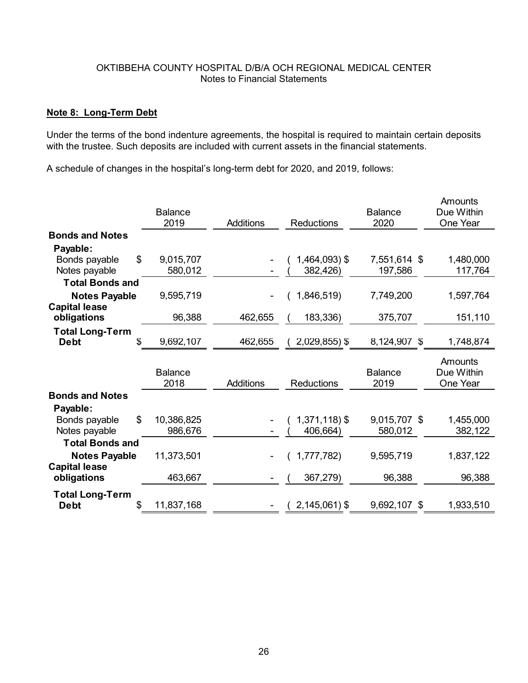### **Note 8: Long-Term Debt**

Under the terms of the bond indenture agreements, the hospital is required to maintain certain deposits with the trustee. Such deposits are included with current assets in the financial statements.

A schedule of changes in the hospital's long-term debt for 2020, and 2019, follows:

|                                       | <b>Balance</b>   |                  |                   | <b>Balance</b> | Amounts<br>Due Within |
|---------------------------------------|------------------|------------------|-------------------|----------------|-----------------------|
|                                       | 2019             | <b>Additions</b> | <b>Reductions</b> | 2020           | One Year              |
| <b>Bonds and Notes</b>                |                  |                  |                   |                |                       |
| Payable:                              |                  |                  |                   |                |                       |
| Bonds payable                         | \$<br>9,015,707  |                  | 1,464,093) \$     | 7,551,614 \$   | 1,480,000             |
| Notes payable                         | 580,012          |                  | 382,426)          | 197,586        | 117,764               |
| <b>Total Bonds and</b>                |                  |                  |                   |                |                       |
| <b>Notes Payable</b>                  | 9,595,719        |                  | 1,846,519)        | 7,749,200      | 1,597,764             |
| <b>Capital lease</b>                  |                  |                  |                   |                |                       |
| obligations                           | 96,388           | 462,655          | 183,336)          | 375,707        | 151,110               |
| <b>Total Long-Term</b>                |                  |                  |                   |                |                       |
| <b>Debt</b>                           | \$.<br>9,692,107 | 462,655          | 2,029,855) \$     | 8,124,907 \$   | 1,748,874             |
|                                       |                  |                  |                   |                |                       |
|                                       | <b>Balance</b>   |                  |                   | <b>Balance</b> | Amounts<br>Due Within |
|                                       | 2018             | <b>Additions</b> | <b>Reductions</b> | 2019           | One Year              |
| <b>Bonds and Notes</b>                |                  |                  |                   |                |                       |
| Payable:                              |                  |                  |                   |                |                       |
| Bonds payable                         | \$<br>10,386,825 |                  | $1,371,118$ ) \$  | 9,015,707 \$   | 1,455,000             |
| Notes payable                         | 986,676          |                  | 406,664)          | 580,012        | 382,122               |
| <b>Total Bonds and</b>                |                  |                  |                   |                |                       |
| <b>Notes Payable</b>                  | 11,373,501       |                  | 1,777,782)        | 9,595,719      | 1,837,122             |
| <b>Capital lease</b>                  |                  |                  |                   |                |                       |
| obligations                           | 463,667          |                  | 367,279)          | 96,388         | 96,388                |
|                                       |                  |                  |                   |                |                       |
| <b>Total Long-Term</b><br><b>Debt</b> | 11,837,168<br>\$ |                  | $2,145,061$ ) \$  | 9,692,107 \$   | 1,933,510             |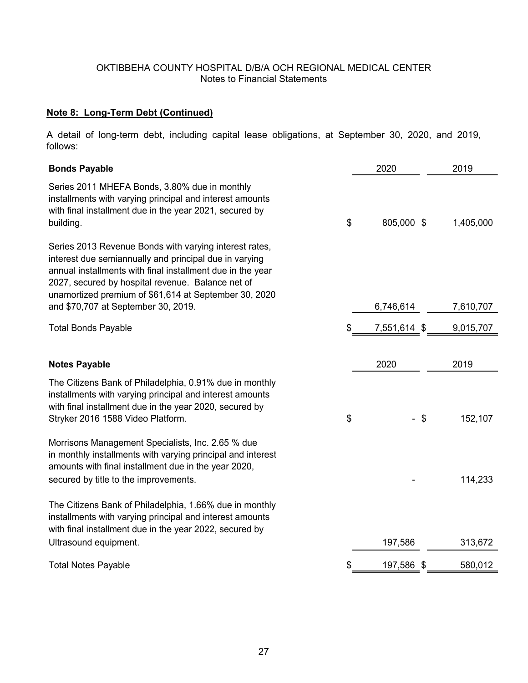# **Note 8: Long-Term Debt (Continued)**

A detail of long-term debt, including capital lease obligations, at September 30, 2020, and 2019, follows:

| <b>Bonds Payable</b>                                                                                                                                                                                                                                                                         | 2020             |      | 2019      |
|----------------------------------------------------------------------------------------------------------------------------------------------------------------------------------------------------------------------------------------------------------------------------------------------|------------------|------|-----------|
| Series 2011 MHEFA Bonds, 3.80% due in monthly<br>installments with varying principal and interest amounts<br>with final installment due in the year 2021, secured by<br>building.                                                                                                            | \$<br>805,000 \$ |      | 1,405,000 |
| Series 2013 Revenue Bonds with varying interest rates,<br>interest due semiannually and principal due in varying<br>annual installments with final installment due in the year<br>2027, secured by hospital revenue. Balance net of<br>unamortized premium of \$61,614 at September 30, 2020 |                  |      |           |
| and \$70,707 at September 30, 2019.                                                                                                                                                                                                                                                          | 6,746,614        |      | 7,610,707 |
| <b>Total Bonds Payable</b>                                                                                                                                                                                                                                                                   | \$<br>7,551,614  | - \$ | 9,015,707 |
|                                                                                                                                                                                                                                                                                              |                  |      |           |
| <b>Notes Payable</b>                                                                                                                                                                                                                                                                         | 2020             |      | 2019      |
| The Citizens Bank of Philadelphia, 0.91% due in monthly<br>installments with varying principal and interest amounts<br>with final installment due in the year 2020, secured by<br>Stryker 2016 1588 Video Platform.                                                                          | \$               | - \$ | 152,107   |
| Morrisons Management Specialists, Inc. 2.65 % due<br>in monthly installments with varying principal and interest<br>amounts with final installment due in the year 2020,<br>secured by title to the improvements.                                                                            |                  |      | 114,233   |
|                                                                                                                                                                                                                                                                                              |                  |      |           |
| The Citizens Bank of Philadelphia, 1.66% due in monthly<br>installments with varying principal and interest amounts<br>with final installment due in the year 2022, secured by                                                                                                               |                  |      |           |
| Ultrasound equipment.                                                                                                                                                                                                                                                                        | 197,586          |      | 313,672   |
| <b>Total Notes Payable</b>                                                                                                                                                                                                                                                                   | \$<br>197,586    | -\$  | 580,012   |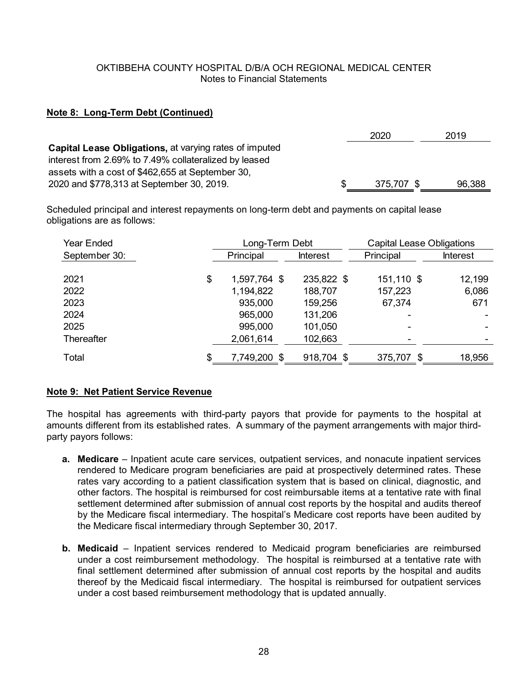## **Note 8: Long-Term Debt (Continued)**

|                                                               | 2020       | 2019   |
|---------------------------------------------------------------|------------|--------|
| <b>Capital Lease Obligations, at varying rates of imputed</b> |            |        |
| interest from 2.69% to 7.49% collateralized by leased         |            |        |
| assets with a cost of \$462,655 at September 30,              |            |        |
| 2020 and \$778,313 at September 30, 2019.                     | 375,707 \$ | 96,388 |

Scheduled principal and interest repayments on long-term debt and payments on capital lease obligations are as follows:

| Year Ended    | Long-Term Debt     |                 | <b>Capital Lease Obligations</b> |                 |
|---------------|--------------------|-----------------|----------------------------------|-----------------|
| September 30: | Principal          | <b>Interest</b> | Principal                        | <b>Interest</b> |
| 2021          | \$<br>1,597,764 \$ | 235,822 \$      | 151,110 \$                       | 12,199          |
|               |                    |                 |                                  |                 |
| 2022          | 1,194,822          | 188,707         | 157,223                          | 6,086           |
| 2023          | 935,000            | 159,256         | 67,374                           | 671             |
| 2024          | 965,000            | 131,206         |                                  |                 |
| 2025          | 995,000            | 101,050         |                                  |                 |
| Thereafter    | 2,061,614          | 102,663         |                                  |                 |
| Total         | \$<br>7,749,200 \$ | 918,704 \$      | 375,707<br>\$                    | 18,956          |

## **Note 9: Net Patient Service Revenue**

The hospital has agreements with third-party payors that provide for payments to the hospital at amounts different from its established rates. A summary of the payment arrangements with major thirdparty payors follows:

- **a. Medicare**  Inpatient acute care services, outpatient services, and nonacute inpatient services rendered to Medicare program beneficiaries are paid at prospectively determined rates. These rates vary according to a patient classification system that is based on clinical, diagnostic, and other factors. The hospital is reimbursed for cost reimbursable items at a tentative rate with final settlement determined after submission of annual cost reports by the hospital and audits thereof by the Medicare fiscal intermediary. The hospital's Medicare cost reports have been audited by the Medicare fiscal intermediary through September 30, 2017.
- **b. Medicaid**  Inpatient services rendered to Medicaid program beneficiaries are reimbursed under a cost reimbursement methodology. The hospital is reimbursed at a tentative rate with final settlement determined after submission of annual cost reports by the hospital and audits thereof by the Medicaid fiscal intermediary. The hospital is reimbursed for outpatient services under a cost based reimbursement methodology that is updated annually.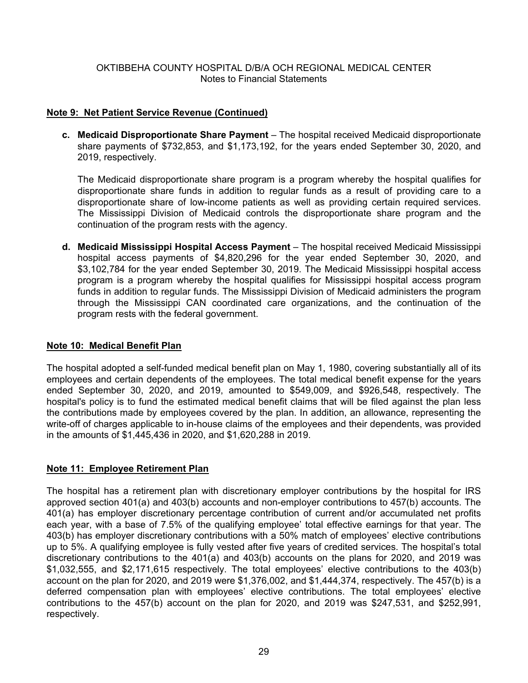## **Note 9: Net Patient Service Revenue (Continued)**

**c. Medicaid Disproportionate Share Payment** – The hospital received Medicaid disproportionate share payments of \$732,853, and \$1,173,192, for the years ended September 30, 2020, and 2019, respectively.

The Medicaid disproportionate share program is a program whereby the hospital qualifies for disproportionate share funds in addition to regular funds as a result of providing care to a disproportionate share of low-income patients as well as providing certain required services. The Mississippi Division of Medicaid controls the disproportionate share program and the continuation of the program rests with the agency.

**d. Medicaid Mississippi Hospital Access Payment** – The hospital received Medicaid Mississippi hospital access payments of \$4,820,296 for the year ended September 30, 2020, and \$3,102,784 for the year ended September 30, 2019. The Medicaid Mississippi hospital access program is a program whereby the hospital qualifies for Mississippi hospital access program funds in addition to regular funds. The Mississippi Division of Medicaid administers the program through the Mississippi CAN coordinated care organizations, and the continuation of the program rests with the federal government.

### **Note 10: Medical Benefit Plan**

The hospital adopted a self-funded medical benefit plan on May 1, 1980, covering substantially all of its employees and certain dependents of the employees. The total medical benefit expense for the years ended September 30, 2020, and 2019, amounted to \$549,009, and \$926,548, respectively. The hospital's policy is to fund the estimated medical benefit claims that will be filed against the plan less the contributions made by employees covered by the plan. In addition, an allowance, representing the write-off of charges applicable to in-house claims of the employees and their dependents, was provided in the amounts of \$1,445,436 in 2020, and \$1,620,288 in 2019.

## **Note 11: Employee Retirement Plan**

The hospital has a retirement plan with discretionary employer contributions by the hospital for IRS approved section 401(a) and 403(b) accounts and non-employer contributions to 457(b) accounts. The 401(a) has employer discretionary percentage contribution of current and/or accumulated net profits each year, with a base of 7.5% of the qualifying employee' total effective earnings for that year. The 403(b) has employer discretionary contributions with a 50% match of employees' elective contributions up to 5%. A qualifying employee is fully vested after five years of credited services. The hospital's total discretionary contributions to the 401(a) and 403(b) accounts on the plans for 2020, and 2019 was \$1,032,555, and \$2,171,615 respectively. The total employees' elective contributions to the 403(b) account on the plan for 2020, and 2019 were \$1,376,002, and \$1,444,374, respectively. The 457(b) is a deferred compensation plan with employees' elective contributions. The total employees' elective contributions to the 457(b) account on the plan for 2020, and 2019 was \$247,531, and \$252,991, respectively.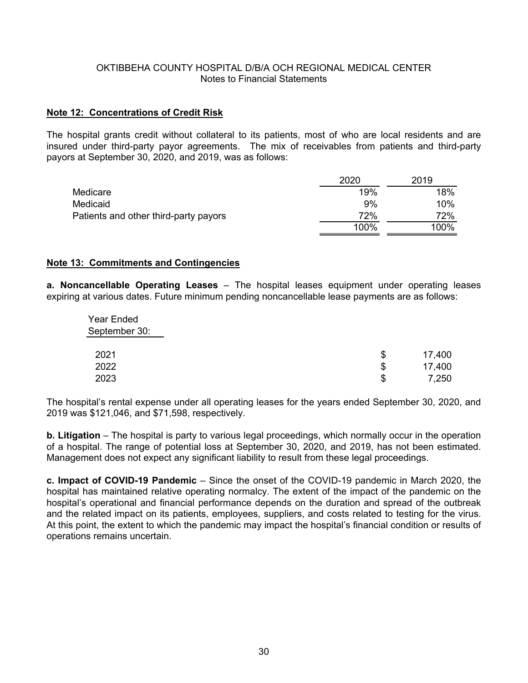#### **Note 12: Concentrations of Credit Risk**

The hospital grants credit without collateral to its patients, most of who are local residents and are insured under third-party payor agreements. The mix of receivables from patients and third-party payors at September 30, 2020, and 2019, was as follows:

|                                       | 2020 | 2019 |
|---------------------------------------|------|------|
| Medicare                              | 19%  | 18%  |
| Medicaid                              | 9%   | 10%  |
| Patients and other third-party payors | 72%  | 72%  |
|                                       | 100% | 100% |

#### **Note 13: Commitments and Contingencies**

**a. Noncancellable Operating Leases** – The hospital leases equipment under operating leases expiring at various dates. Future minimum pending noncancellable lease payments are as follows:

| <b>Year Ended</b><br>September 30: |              |
|------------------------------------|--------------|
| 2021                               | \$<br>17,400 |
| 2022                               | \$<br>17,400 |
| 2023                               | \$<br>7,250  |

The hospital's rental expense under all operating leases for the years ended September 30, 2020, and 2019 was \$121,046, and \$71,598, respectively.

**b. Litigation** – The hospital is party to various legal proceedings, which normally occur in the operation of a hospital. The range of potential loss at September 30, 2020, and 2019, has not been estimated. Management does not expect any significant liability to result from these legal proceedings.

**c. Impact of COVID-19 Pandemic** – Since the onset of the COVID-19 pandemic in March 2020, the hospital has maintained relative operating normalcy. The extent of the impact of the pandemic on the hospital's operational and financial performance depends on the duration and spread of the outbreak and the related impact on its patients, employees, suppliers, and costs related to testing for the virus. At this point, the extent to which the pandemic may impact the hospital's financial condition or results of operations remains uncertain.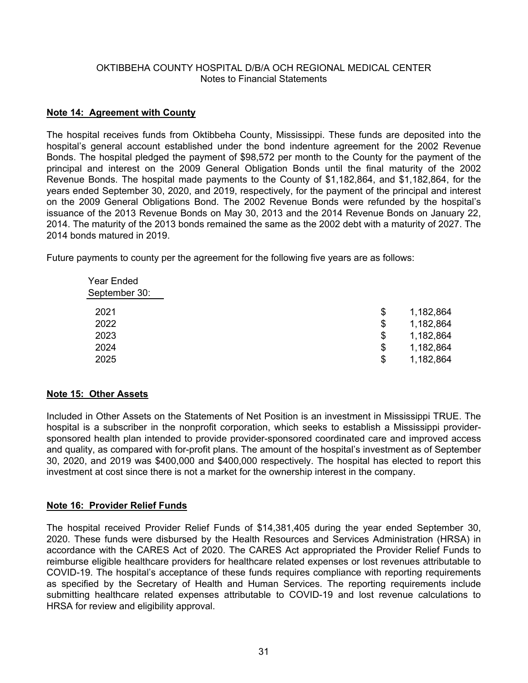## **Note 14: Agreement with County**

The hospital receives funds from Oktibbeha County, Mississippi. These funds are deposited into the hospital's general account established under the bond indenture agreement for the 2002 Revenue Bonds. The hospital pledged the payment of \$98,572 per month to the County for the payment of the principal and interest on the 2009 General Obligation Bonds until the final maturity of the 2002 Revenue Bonds. The hospital made payments to the County of \$1,182,864, and \$1,182,864, for the years ended September 30, 2020, and 2019, respectively, for the payment of the principal and interest on the 2009 General Obligations Bond. The 2002 Revenue Bonds were refunded by the hospital's issuance of the 2013 Revenue Bonds on May 30, 2013 and the 2014 Revenue Bonds on January 22, 2014. The maturity of the 2013 bonds remained the same as the 2002 debt with a maturity of 2027. The 2014 bonds matured in 2019.

Future payments to county per the agreement for the following five years are as follows:

| <b>Year Ended</b><br>September 30: |    |           |
|------------------------------------|----|-----------|
| 2021                               | S  | 1,182,864 |
| 2022                               | \$ | 1,182,864 |
| 2023                               | \$ | 1,182,864 |
| 2024                               | \$ | 1,182,864 |
| 2025                               | S  | 1,182,864 |
|                                    |    |           |

## **Note 15: Other Assets**

Included in Other Assets on the Statements of Net Position is an investment in Mississippi TRUE. The hospital is a subscriber in the nonprofit corporation, which seeks to establish a Mississippi providersponsored health plan intended to provide provider-sponsored coordinated care and improved access and quality, as compared with for-profit plans. The amount of the hospital's investment as of September 30, 2020, and 2019 was \$400,000 and \$400,000 respectively. The hospital has elected to report this investment at cost since there is not a market for the ownership interest in the company.

## **Note 16: Provider Relief Funds**

The hospital received Provider Relief Funds of \$14,381,405 during the year ended September 30, 2020. These funds were disbursed by the Health Resources and Services Administration (HRSA) in accordance with the CARES Act of 2020. The CARES Act appropriated the Provider Relief Funds to reimburse eligible healthcare providers for healthcare related expenses or lost revenues attributable to COVID-19. The hospital's acceptance of these funds requires compliance with reporting requirements as specified by the Secretary of Health and Human Services. The reporting requirements include submitting healthcare related expenses attributable to COVID-19 and lost revenue calculations to HRSA for review and eligibility approval.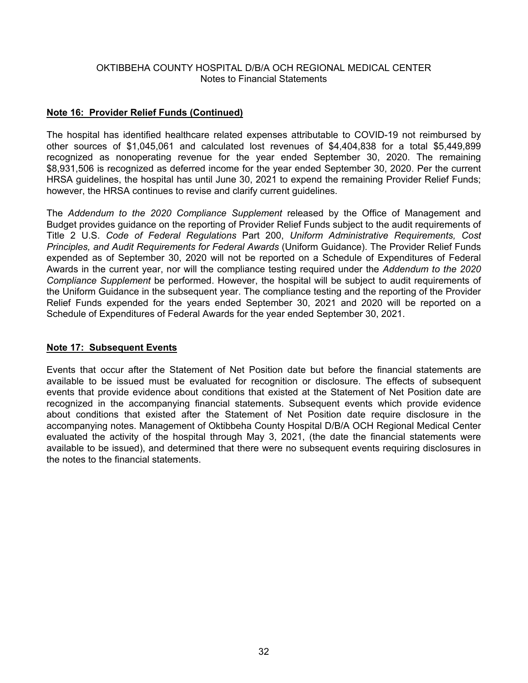### **Note 16: Provider Relief Funds (Continued)**

The hospital has identified healthcare related expenses attributable to COVID-19 not reimbursed by other sources of \$1,045,061 and calculated lost revenues of \$4,404,838 for a total \$5,449,899 recognized as nonoperating revenue for the year ended September 30, 2020. The remaining \$8,931,506 is recognized as deferred income for the year ended September 30, 2020. Per the current HRSA guidelines, the hospital has until June 30, 2021 to expend the remaining Provider Relief Funds; however, the HRSA continues to revise and clarify current guidelines.

The *Addendum to the 2020 Compliance Supplement* released by the Office of Management and Budget provides guidance on the reporting of Provider Relief Funds subject to the audit requirements of Title 2 U.S. *Code of Federal Regulations* Part 200, *Uniform Administrative Requirements, Cost Principles, and Audit Requirements for Federal Awards* (Uniform Guidance). The Provider Relief Funds expended as of September 30, 2020 will not be reported on a Schedule of Expenditures of Federal Awards in the current year, nor will the compliance testing required under the *Addendum to the 2020 Compliance Supplement* be performed. However, the hospital will be subject to audit requirements of the Uniform Guidance in the subsequent year. The compliance testing and the reporting of the Provider Relief Funds expended for the years ended September 30, 2021 and 2020 will be reported on a Schedule of Expenditures of Federal Awards for the year ended September 30, 2021.

## **Note 17: Subsequent Events**

Events that occur after the Statement of Net Position date but before the financial statements are available to be issued must be evaluated for recognition or disclosure. The effects of subsequent events that provide evidence about conditions that existed at the Statement of Net Position date are recognized in the accompanying financial statements. Subsequent events which provide evidence about conditions that existed after the Statement of Net Position date require disclosure in the accompanying notes. Management of Oktibbeha County Hospital D/B/A OCH Regional Medical Center evaluated the activity of the hospital through May 3, 2021, (the date the financial statements were available to be issued), and determined that there were no subsequent events requiring disclosures in the notes to the financial statements.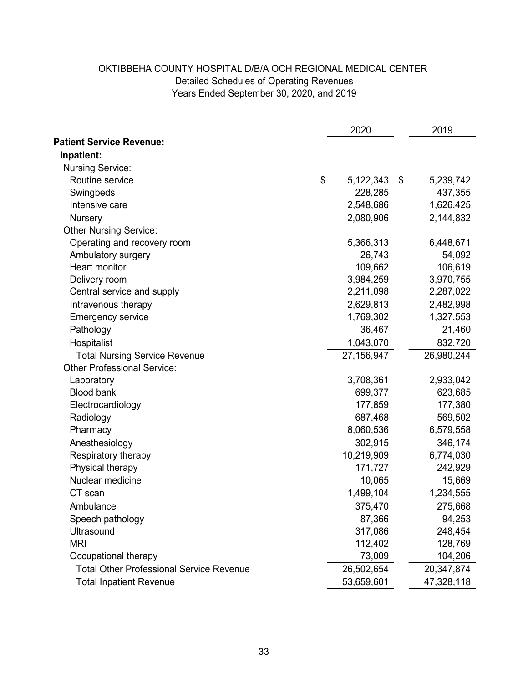# Years Ended September 30, 2020, and 2019 OKTIBBEHA COUNTY HOSPITAL D/B/A OCH REGIONAL MEDICAL CENTER Detailed Schedules of Operating Revenues

|                                                 | 2020            | 2019            |
|-------------------------------------------------|-----------------|-----------------|
| <b>Patient Service Revenue:</b>                 |                 |                 |
| Inpatient:                                      |                 |                 |
| <b>Nursing Service:</b>                         |                 |                 |
| Routine service                                 | \$<br>5,122,343 | \$<br>5,239,742 |
| Swingbeds                                       | 228,285         | 437,355         |
| Intensive care                                  | 2,548,686       | 1,626,425       |
| <b>Nursery</b>                                  | 2,080,906       | 2,144,832       |
| <b>Other Nursing Service:</b>                   |                 |                 |
| Operating and recovery room                     | 5,366,313       | 6,448,671       |
| Ambulatory surgery                              | 26,743          | 54,092          |
| Heart monitor                                   | 109,662         | 106,619         |
| Delivery room                                   | 3,984,259       | 3,970,755       |
| Central service and supply                      | 2,211,098       | 2,287,022       |
| Intravenous therapy                             | 2,629,813       | 2,482,998       |
| <b>Emergency service</b>                        | 1,769,302       | 1,327,553       |
| Pathology                                       | 36,467          | 21,460          |
| Hospitalist                                     | 1,043,070       | 832,720         |
| <b>Total Nursing Service Revenue</b>            | 27,156,947      | 26,980,244      |
| <b>Other Professional Service:</b>              |                 |                 |
| Laboratory                                      | 3,708,361       | 2,933,042       |
| <b>Blood bank</b>                               | 699,377         | 623,685         |
| Electrocardiology                               | 177,859         | 177,380         |
| Radiology                                       | 687,468         | 569,502         |
| Pharmacy                                        | 8,060,536       | 6,579,558       |
| Anesthesiology                                  | 302,915         | 346,174         |
| Respiratory therapy                             | 10,219,909      | 6,774,030       |
| Physical therapy                                | 171,727         | 242,929         |
| Nuclear medicine                                | 10,065          | 15,669          |
| CT scan                                         | 1,499,104       | 1,234,555       |
| Ambulance                                       | 375,470         | 275,668         |
| Speech pathology                                | 87,366          | 94,253          |
| Ultrasound                                      | 317,086         | 248,454         |
| <b>MRI</b>                                      | 112,402         | 128,769         |
| Occupational therapy                            | 73,009          | 104,206         |
| <b>Total Other Professional Service Revenue</b> | 26,502,654      | 20,347,874      |
| <b>Total Inpatient Revenue</b>                  | 53,659,601      | 47,328,118      |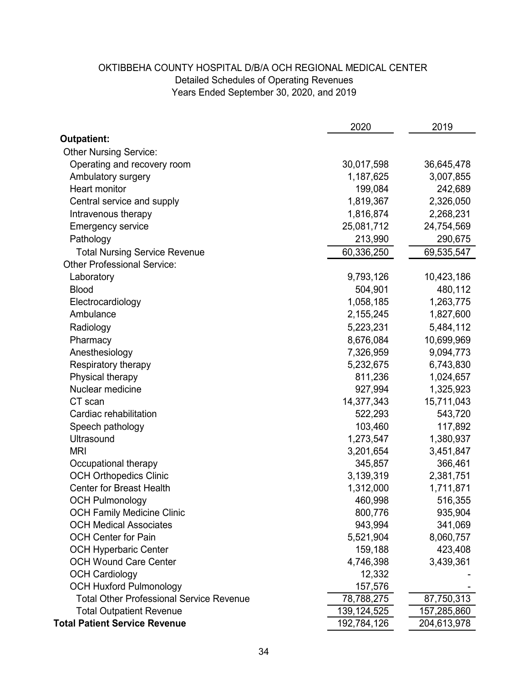# Years Ended September 30, 2020, and 2019 OKTIBBEHA COUNTY HOSPITAL D/B/A OCH REGIONAL MEDICAL CENTER Detailed Schedules of Operating Revenues

|                                                 | 2020          | 2019        |
|-------------------------------------------------|---------------|-------------|
| <b>Outpatient:</b>                              |               |             |
| <b>Other Nursing Service:</b>                   |               |             |
| Operating and recovery room                     | 30,017,598    | 36,645,478  |
| Ambulatory surgery                              | 1,187,625     | 3,007,855   |
| <b>Heart monitor</b>                            | 199,084       | 242,689     |
| Central service and supply                      | 1,819,367     | 2,326,050   |
| Intravenous therapy                             | 1,816,874     | 2,268,231   |
| <b>Emergency service</b>                        | 25,081,712    | 24,754,569  |
| Pathology                                       | 213,990       | 290,675     |
| <b>Total Nursing Service Revenue</b>            | 60,336,250    | 69,535,547  |
| <b>Other Professional Service:</b>              |               |             |
| Laboratory                                      | 9,793,126     | 10,423,186  |
| <b>Blood</b>                                    | 504,901       | 480,112     |
| Electrocardiology                               | 1,058,185     | 1,263,775   |
| Ambulance                                       | 2,155,245     | 1,827,600   |
| Radiology                                       | 5,223,231     | 5,484,112   |
| Pharmacy                                        | 8,676,084     | 10,699,969  |
| Anesthesiology                                  | 7,326,959     | 9,094,773   |
| Respiratory therapy                             | 5,232,675     | 6,743,830   |
| Physical therapy                                | 811,236       | 1,024,657   |
| Nuclear medicine                                | 927,994       | 1,325,923   |
| CT scan                                         | 14,377,343    | 15,711,043  |
| Cardiac rehabilitation                          | 522,293       | 543,720     |
| Speech pathology                                | 103,460       | 117,892     |
| <b>Ultrasound</b>                               | 1,273,547     | 1,380,937   |
| <b>MRI</b>                                      | 3,201,654     | 3,451,847   |
| Occupational therapy                            | 345,857       | 366,461     |
| <b>OCH Orthopedics Clinic</b>                   | 3,139,319     | 2,381,751   |
| <b>Center for Breast Health</b>                 | 1,312,000     | 1,711,871   |
| <b>OCH Pulmonology</b>                          | 460,998       | 516,355     |
| <b>OCH Family Medicine Clinic</b>               | 800,776       | 935,904     |
| <b>OCH Medical Associates</b>                   | 943,994       | 341,069     |
| <b>OCH Center for Pain</b>                      | 5,521,904     | 8,060,757   |
| <b>OCH Hyperbaric Center</b>                    | 159,188       | 423,408     |
| <b>OCH Wound Care Center</b>                    | 4,746,398     | 3,439,361   |
| <b>OCH Cardiology</b>                           | 12,332        |             |
| <b>OCH Huxford Pulmonology</b>                  | 157,576       |             |
| <b>Total Other Professional Service Revenue</b> | 78,788,275    | 87,750,313  |
| <b>Total Outpatient Revenue</b>                 | 139, 124, 525 | 157,285,860 |
| <b>Total Patient Service Revenue</b>            | 192,784,126   | 204,613,978 |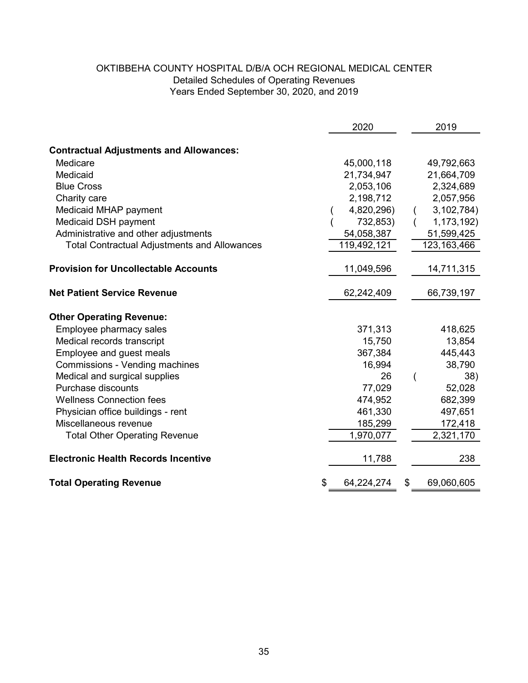# OKTIBBEHA COUNTY HOSPITAL D/B/A OCH REGIONAL MEDICAL CENTER Years Ended September 30, 2020, and 2019 Detailed Schedules of Operating Revenues

|                                                     | 2020             | 2019             |
|-----------------------------------------------------|------------------|------------------|
|                                                     |                  |                  |
| <b>Contractual Adjustments and Allowances:</b>      |                  |                  |
| Medicare                                            | 45,000,118       | 49,792,663       |
| Medicaid                                            | 21,734,947       | 21,664,709       |
| <b>Blue Cross</b>                                   | 2,053,106        | 2,324,689        |
| Charity care                                        | 2,198,712        | 2,057,956        |
| Medicaid MHAP payment                               | 4,820,296)       | 3,102,784)       |
| Medicaid DSH payment                                | 732,853)         | 1,173,192)       |
| Administrative and other adjustments                | 54,058,387       | 51,599,425       |
| <b>Total Contractual Adjustments and Allowances</b> | 119,492,121      | 123, 163, 466    |
| <b>Provision for Uncollectable Accounts</b>         | 11,049,596       | 14,711,315       |
| <b>Net Patient Service Revenue</b>                  | 62,242,409       | 66,739,197       |
| <b>Other Operating Revenue:</b>                     |                  |                  |
| Employee pharmacy sales                             | 371,313          | 418,625          |
| Medical records transcript                          | 15,750           | 13,854           |
| Employee and guest meals                            | 367,384          | 445,443          |
| Commissions - Vending machines                      | 16,994           | 38,790           |
| Medical and surgical supplies                       | 26               | 38)<br>(         |
| <b>Purchase discounts</b>                           | 77,029           | 52,028           |
| <b>Wellness Connection fees</b>                     | 474,952          | 682,399          |
| Physician office buildings - rent                   | 461,330          | 497,651          |
| Miscellaneous revenue                               | 185,299          | 172,418          |
| <b>Total Other Operating Revenue</b>                | 1,970,077        | 2,321,170        |
| <b>Electronic Health Records Incentive</b>          | 11,788           | 238              |
| <b>Total Operating Revenue</b>                      | \$<br>64,224,274 | \$<br>69,060,605 |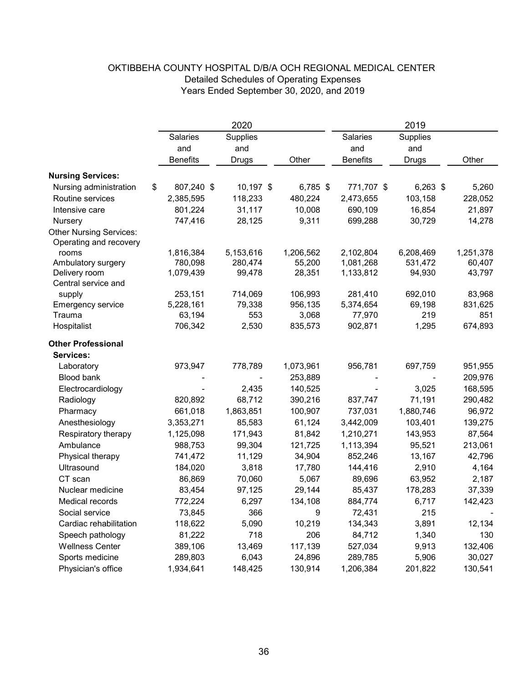|                                | 2020             |              |            | 2019            |              |           |
|--------------------------------|------------------|--------------|------------|-----------------|--------------|-----------|
|                                | <b>Salaries</b>  | Supplies     |            | Salaries        | Supplies     |           |
|                                | and              | and          |            | and             | and          |           |
|                                | <b>Benefits</b>  | <b>Drugs</b> | Other      | <b>Benefits</b> | <b>Drugs</b> | Other     |
| <b>Nursing Services:</b>       |                  |              |            |                 |              |           |
| Nursing administration         | \$<br>807,240 \$ | 10,197 \$    | $6,785$ \$ | 771,707 \$      | $6,263$ \$   | 5,260     |
| Routine services               | 2,385,595        | 118,233      | 480,224    | 2,473,655       | 103,158      | 228,052   |
| Intensive care                 | 801,224          | 31,117       | 10,008     | 690,109         | 16,854       | 21,897    |
| Nursery                        | 747,416          | 28,125       | 9,311      | 699,288         | 30,729       | 14,278    |
| <b>Other Nursing Services:</b> |                  |              |            |                 |              |           |
| Operating and recovery         |                  |              |            |                 |              |           |
| rooms                          | 1,816,384        | 5,153,616    | 1,206,562  | 2,102,804       | 6,208,469    | 1,251,378 |
| Ambulatory surgery             | 780,098          | 280,474      | 55,200     | 1,081,268       | 531,472      | 60,407    |
| Delivery room                  | 1,079,439        | 99,478       | 28,351     | 1,133,812       | 94,930       | 43,797    |
| Central service and            |                  |              |            |                 |              |           |
| supply                         | 253,151          | 714,069      | 106,993    | 281,410         | 692,010      | 83,968    |
| Emergency service              | 5,228,161        | 79,338       | 956,135    | 5,374,654       | 69,198       | 831,625   |
| Trauma                         | 63,194           | 553          | 3,068      | 77,970          | 219          | 851       |
| Hospitalist                    | 706,342          | 2,530        | 835,573    | 902,871         | 1,295        | 674,893   |
| <b>Other Professional</b>      |                  |              |            |                 |              |           |
| Services:                      |                  |              |            |                 |              |           |
| Laboratory                     | 973,947          | 778,789      | 1,073,961  | 956,781         | 697,759      | 951,955   |
| <b>Blood bank</b>              |                  |              | 253,889    |                 |              | 209,976   |
| Electrocardiology              |                  | 2,435        | 140,525    |                 | 3,025        | 168,595   |
| Radiology                      | 820,892          | 68,712       | 390,216    | 837,747         | 71,191       | 290,482   |
| Pharmacy                       | 661,018          | 1,863,851    | 100,907    | 737,031         | 1,880,746    | 96,972    |
| Anesthesiology                 | 3,353,271        | 85,583       | 61,124     | 3,442,009       | 103,401      | 139,275   |
| Respiratory therapy            | 1,125,098        | 171,943      | 81,842     | 1,210,271       | 143,953      | 87,564    |
| Ambulance                      | 988,753          | 99,304       | 121,725    | 1,113,394       | 95,521       | 213,061   |
| Physical therapy               | 741,472          | 11,129       | 34,904     | 852,246         | 13,167       | 42,796    |
| Ultrasound                     | 184,020          | 3,818        | 17,780     | 144,416         | 2,910        | 4,164     |
| CT scan                        | 86,869           | 70,060       | 5,067      | 89,696          | 63,952       | 2,187     |
| Nuclear medicine               | 83,454           | 97,125       | 29,144     | 85,437          | 178,283      | 37,339    |
| Medical records                | 772,224          | 6,297        | 134,108    | 884,774         | 6,717        | 142,423   |
| Social service                 | 73,845           | 366          | 9          | 72,431          | 215          |           |
| Cardiac rehabilitation         | 118,622          | 5,090        | 10,219     | 134,343         | 3,891        | 12,134    |
| Speech pathology               | 81,222           | 718          | 206        | 84,712          | 1,340        | 130       |
| <b>Wellness Center</b>         | 389,106          | 13,469       | 117,139    | 527,034         | 9,913        | 132,406   |
| Sports medicine                | 289,803          | 6,043        | 24,896     | 289,785         | 5,906        | 30,027    |
| Physician's office             | 1,934,641        | 148,425      | 130,914    | 1,206,384       | 201,822      | 130,541   |

# OKTIBBEHA COUNTY HOSPITAL D/B/A OCH REGIONAL MEDICAL CENTER Detailed Schedules of Operating Expenses Years Ended September 30, 2020, and 2019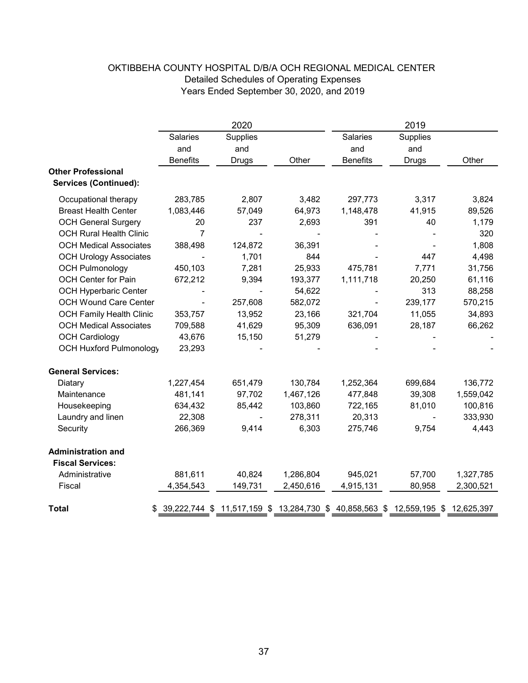|                                                           | 2020            |                | 2019      |                                                                                  |          |           |
|-----------------------------------------------------------|-----------------|----------------|-----------|----------------------------------------------------------------------------------|----------|-----------|
|                                                           | Salaries        | Supplies       |           | Salaries                                                                         | Supplies |           |
|                                                           | and             | and            |           | and                                                                              | and      |           |
|                                                           | <b>Benefits</b> | Drugs          | Other     | <b>Benefits</b>                                                                  | Drugs    | Other     |
| <b>Other Professional</b><br><b>Services (Continued):</b> |                 |                |           |                                                                                  |          |           |
| Occupational therapy                                      | 283,785         | 2,807          | 3,482     | 297,773                                                                          | 3,317    | 3,824     |
| <b>Breast Health Center</b>                               | 1,083,446       | 57,049         | 64,973    | 1,148,478                                                                        | 41,915   | 89,526    |
| <b>OCH General Surgery</b>                                | 20              | 237            | 2,693     | 391                                                                              | 40       | 1,179     |
| <b>OCH Rural Health Clinic</b>                            | $\overline{7}$  |                |           |                                                                                  |          | 320       |
| <b>OCH Medical Associates</b>                             | 388,498         | 124,872        | 36,391    |                                                                                  |          | 1,808     |
| <b>OCH Urology Associates</b>                             |                 | 1,701          | 844       |                                                                                  | 447      | 4,498     |
| <b>OCH Pulmonology</b>                                    | 450,103         | 7,281          | 25,933    | 475,781                                                                          | 7,771    | 31,756    |
| OCH Center for Pain                                       | 672,212         | 9,394          | 193,377   | 1,111,718                                                                        | 20,250   | 61,116    |
| <b>OCH Hyperbaric Center</b>                              |                 | $\overline{a}$ | 54,622    |                                                                                  | 313      | 88,258    |
| <b>OCH Wound Care Center</b>                              |                 | 257,608        | 582,072   |                                                                                  | 239,177  | 570,215   |
| <b>OCH Family Health Clinic</b>                           | 353,757         | 13,952         | 23,166    | 321,704                                                                          | 11,055   | 34,893    |
| <b>OCH Medical Associates</b>                             | 709,588         | 41,629         | 95,309    | 636,091                                                                          | 28,187   | 66,262    |
| <b>OCH Cardiology</b>                                     | 43,676          | 15,150         | 51,279    |                                                                                  |          |           |
| <b>OCH Huxford Pulmonology</b>                            | 23,293          |                |           |                                                                                  |          |           |
| <b>General Services:</b>                                  |                 |                |           |                                                                                  |          |           |
| Diatary                                                   | 1,227,454       | 651,479        | 130,784   | 1,252,364                                                                        | 699,684  | 136,772   |
| Maintenance                                               | 481,141         | 97,702         | 1,467,126 | 477,848                                                                          | 39,308   | 1,559,042 |
| Housekeeping                                              | 634,432         | 85,442         | 103,860   | 722,165                                                                          | 81,010   | 100,816   |
| Laundry and linen                                         | 22,308          |                | 278,311   | 20,313                                                                           |          | 333,930   |
| Security                                                  | 266,369         | 9,414          | 6,303     | 275,746                                                                          | 9,754    | 4,443     |
| <b>Administration and</b>                                 |                 |                |           |                                                                                  |          |           |
| <b>Fiscal Services:</b>                                   |                 |                |           |                                                                                  |          |           |
| Administrative                                            | 881,611         | 40,824         | 1,286,804 | 945,021                                                                          | 57,700   | 1,327,785 |
| Fiscal                                                    | 4,354,543       | 149,731        | 2,450,616 | 4,915,131                                                                        | 80,958   | 2,300,521 |
| <b>Total</b><br>\$                                        |                 |                |           | 39,222,744 \$ 11,517,159 \$ 13,284,730 \$ 40,858,563 \$ 12,559,195 \$ 12,625,397 |          |           |

# OKTIBBEHA COUNTY HOSPITAL D/B/A OCH REGIONAL MEDICAL CENTER Detailed Schedules of Operating Expenses Years Ended September 30, 2020, and 2019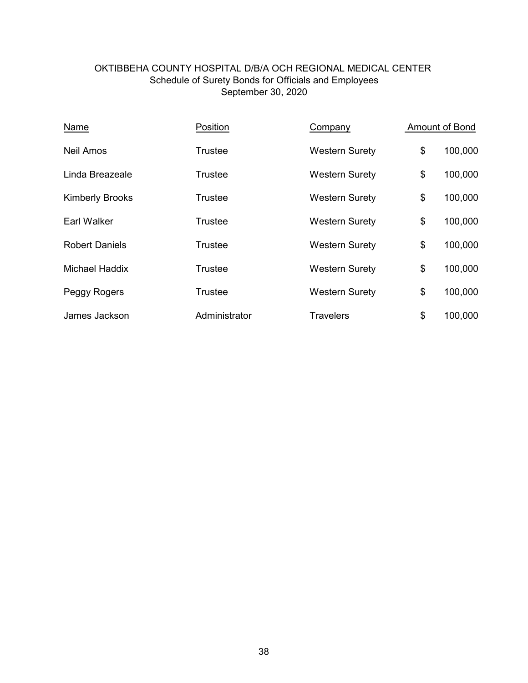# Schedule of Surety Bonds for Officials and Employees September 30, 2020 OKTIBBEHA COUNTY HOSPITAL D/B/A OCH REGIONAL MEDICAL CENTER

| Name                   | Position       | Company               | Amount of Bond |
|------------------------|----------------|-----------------------|----------------|
| Neil Amos              | Trustee        | <b>Western Surety</b> | \$<br>100,000  |
| Linda Breazeale        | <b>Trustee</b> | <b>Western Surety</b> | \$<br>100,000  |
| <b>Kimberly Brooks</b> | Trustee        | <b>Western Surety</b> | \$<br>100,000  |
| <b>Earl Walker</b>     | <b>Trustee</b> | <b>Western Surety</b> | \$<br>100,000  |
| <b>Robert Daniels</b>  | Trustee        | <b>Western Surety</b> | \$<br>100,000  |
| <b>Michael Haddix</b>  | Trustee        | <b>Western Surety</b> | \$<br>100,000  |
| Peggy Rogers           | <b>Trustee</b> | <b>Western Surety</b> | \$<br>100,000  |
| James Jackson          | Administrator  | <b>Travelers</b>      | \$<br>100,000  |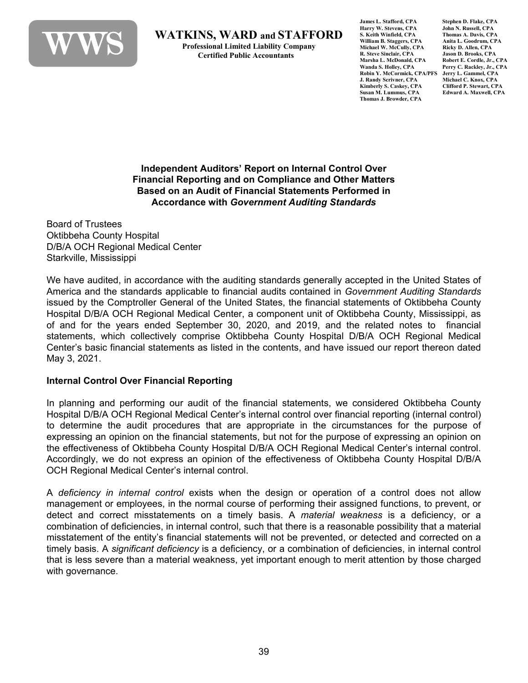

**WATKINS, WARD and STAFFORD**<br>Professional Limited Liability Company<br>Certified Public Accountants

**James L. Stafford, CPA Stephen D. Flake, CPA Harry W. Stevens, CPA John N. Russell, CPA S. Keith Winfield, CPA Thomas A. Davis, CPA William B. Staggers, CPA Anita L. Goodrum, CPA** Michael W. McCully, CPA Ricky D. Allen, CPA<br>R. Steve Sinclair. CPA Jason D. Brooks. CPA **R. Steve Sinclair, CPA**<br>Marsha L. McDonald, CPA **Marsha L. McDonald, CPA** Robert E. Cordle, Jr., CPA<br>Wanda S. Holley. CPA Perry C. Rackley. Jr., CPA **Robin Y. McCormick, CPA/PFS Jerry L. Gammel, CPA J. Randy Scrivner, CPA** Michael C. Knox, CPA<br>
Kimberly S. Caskey, CPA Clifford P. Stewart, CPA **Kimberly S. Caskey, CPA**<br>Susan M. Lummus, CPA **Thomas J. Browder, CPA**

Perry C. Rackley, Jr., CPA<br>Jerry L. Gammel, CPA **Susan M. Lummus, CPA Edward A. Maxwell, CPA**

**Independent Auditors' Report on Internal Control Over Financial Reporting and on Compliance and Other Matters Based on an Audit of Financial Statements Performed in Accordance with** *Government Auditing Standards*

Board of Trustees Oktibbeha County Hospital D/B/A OCH Regional Medical Center Starkville, Mississippi

We have audited, in accordance with the auditing standards generally accepted in the United States of America and the standards applicable to financial audits contained in *Government Auditing Standards* issued by the Comptroller General of the United States, the financial statements of Oktibbeha County Hospital D/B/A OCH Regional Medical Center, a component unit of Oktibbeha County, Mississippi, as of and for the years ended September 30, 2020, and 2019, and the related notes to financial statements, which collectively comprise Oktibbeha County Hospital D/B/A OCH Regional Medical Center's basic financial statements as listed in the contents, and have issued our report thereon dated May 3, 2021.

## **Internal Control Over Financial Reporting**

In planning and performing our audit of the financial statements, we considered Oktibbeha County Hospital D/B/A OCH Regional Medical Center's internal control over financial reporting (internal control) to determine the audit procedures that are appropriate in the circumstances for the purpose of expressing an opinion on the financial statements, but not for the purpose of expressing an opinion on the effectiveness of Oktibbeha County Hospital D/B/A OCH Regional Medical Center's internal control. Accordingly, we do not express an opinion of the effectiveness of Oktibbeha County Hospital D/B/A OCH Regional Medical Center's internal control.

A *deficiency in internal control* exists when the design or operation of a control does not allow management or employees, in the normal course of performing their assigned functions, to prevent, or detect and correct misstatements on a timely basis. A *material weakness* is a deficiency, or a combination of deficiencies, in internal control, such that there is a reasonable possibility that a material misstatement of the entity's financial statements will not be prevented, or detected and corrected on a timely basis. A *significant deficiency* is a deficiency, or a combination of deficiencies, in internal control that is less severe than a material weakness, yet important enough to merit attention by those charged with governance.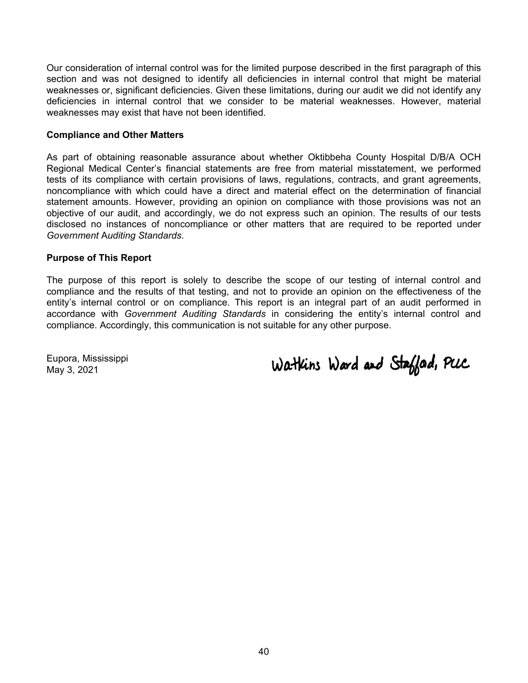Our consideration of internal control was for the limited purpose described in the first paragraph of this section and was not designed to identify all deficiencies in internal control that might be material weaknesses or, significant deficiencies. Given these limitations, during our audit we did not identify any deficiencies in internal control that we consider to be material weaknesses. However, material weaknesses may exist that have not been identified.

#### **Compliance and Other Matters**

As part of obtaining reasonable assurance about whether Oktibbeha County Hospital D/B/A OCH Regional Medical Center's financial statements are free from material misstatement, we performed tests of its compliance with certain provisions of laws, regulations, contracts, and grant agreements, noncompliance with which could have a direct and material effect on the determination of financial statement amounts. However, providing an opinion on compliance with those provisions was not an objective of our audit, and accordingly, we do not express such an opinion. The results of our tests disclosed no instances of noncompliance or other matters that are required to be reported under *Government* A*uditing Standards*.

#### **Purpose of This Report**

The purpose of this report is solely to describe the scope of our testing of internal control and compliance and the results of that testing, and not to provide an opinion on the effectiveness of the entity's internal control or on compliance. This report is an integral part of an audit performed in accordance with *Government Auditing Standards* in considering the entity's internal control and compliance. Accordingly, this communication is not suitable for any other purpose.

Eupora, Mississippi May 3, 2021

Watkins Ward and Staffad, PUC